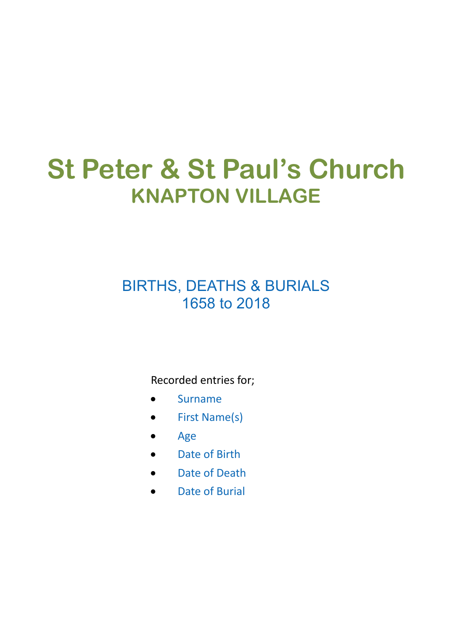## **St Peter & St Paul's Church KNAPTON VILLAGE**

## BIRTHS, DEATHS & BURIALS 1658 to 2018

Recorded entries for;

- Surname
- First Name(s)
- Age
- Date of Birth
- Date of Death
- Date of Burial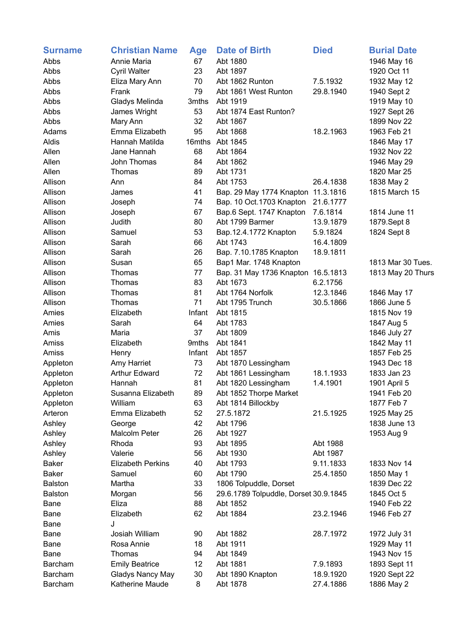| <b>Surname</b>         | <b>Christian Name</b>    | <b>Age</b> | <b>Date of Birth</b>                  | <b>Died</b> | <b>Burial Date</b>         |
|------------------------|--------------------------|------------|---------------------------------------|-------------|----------------------------|
| Abbs                   | Annie Maria              | 67         | Abt 1880                              |             | 1946 May 16                |
| Abbs                   | Cyril Walter             | 23         | Abt 1897                              |             | 1920 Oct 11                |
| Abbs                   | Eliza Mary Ann           | 70         | Abt 1862 Runton                       | 7.5.1932    | 1932 May 12                |
| Abbs                   | Frank                    | 79         | Abt 1861 West Runton                  | 29.8.1940   | 1940 Sept 2                |
| Abbs                   | Gladys Melinda           | 3mths      | Abt 1919                              |             | 1919 May 10                |
| Abbs                   | James Wright             | 53         | Abt 1874 East Runton?                 |             | 1927 Sept 26               |
| Abbs                   | Mary Ann                 | 32         | Abt 1867                              |             | 1899 Nov 22                |
| Adams                  | Emma Elizabeth           | 95         | Abt 1868                              | 18.2.1963   | 1963 Feb 21                |
| Aldis                  | Hannah Matilda           | 16mths     | Abt 1845                              |             | 1846 May 17                |
| Allen                  | Jane Hannah              | 68         | Abt 1864                              |             | 1932 Nov 22                |
| Allen                  | John Thomas              | 84         | Abt 1862                              |             | 1946 May 29                |
| Allen                  | Thomas                   | 89         | Abt 1731                              |             | 1820 Mar 25                |
| Allison                | Ann                      | 84         | Abt 1753                              | 26.4.1838   | 1838 May 2                 |
| Allison                | James                    | 41         | Bap. 29 May 1774 Knapton              | 11.3.1816   | 1815 March 15              |
| Allison                | Joseph                   | 74         | Bap. 10 Oct.1703 Knapton              | 21.6.1777   |                            |
| Allison                | Joseph                   | 67         | Bap.6 Sept. 1747 Knapton              | 7.6.1814    | 1814 June 11               |
| Allison                | Judith                   | 80         | Abt 1799 Barmer                       | 13.9.1879   | 1879.Sept 8                |
| Allison                | Samuel                   | 53         | Bap.12.4.1772 Knapton                 | 5.9.1824    | 1824 Sept 8                |
| Allison                | Sarah                    | 66         | Abt 1743                              | 16.4.1809   |                            |
| Allison                | Sarah                    | 26         | Bap. 7.10.1785 Knapton                | 18.9.1811   |                            |
| Allison                | Susan                    | 65         | Bap1 Mar. 1748 Knapton                |             | 1813 Mar 30 Tues.          |
| Allison                | Thomas                   | 77         | Bap. 31 May 1736 Knapton              | 16.5.1813   | 1813 May 20 Thurs          |
| Allison                | Thomas                   | 83         | Abt 1673                              | 6.2.1756    |                            |
| Allison                | Thomas                   | 81         | Abt 1764 Norfolk                      | 12.3.1846   | 1846 May 17                |
| Allison                | Thomas                   | 71         | Abt 1795 Trunch                       | 30.5.1866   | 1866 June 5                |
| Amies                  | Elizabeth                | Infant     | Abt 1815                              |             | 1815 Nov 19                |
| Amies                  | Sarah                    | 64         | Abt 1783                              |             | 1847 Aug 5                 |
| Amis                   | Maria                    | 37         | Abt 1809                              |             | 1846 July 27               |
| Amiss                  | Elizabeth                | 9mths      | Abt 1841                              |             | 1842 May 11                |
| Amiss                  | Henry                    | Infant     | Abt 1857                              |             | 1857 Feb 25                |
| Appleton               | Amy Harriet              | 73         | Abt 1870 Lessingham                   |             | 1943 Dec 18                |
| Appleton               | <b>Arthur Edward</b>     | 72         | Abt 1861 Lessingham                   | 18.1.1933   | 1833 Jan 23                |
| Appleton               | Hannah                   | 81         | Abt 1820 Lessingham                   | 1.4.1901    | 1901 April 5               |
| Appleton               | Susanna Elizabeth        | 89         | Abt 1852 Thorpe Market                |             | 1941 Feb 20                |
| Appleton               | William                  | 63         | Abt 1814 Billockby                    |             | 1877 Feb 7                 |
| Arteron                | Emma Elizabeth           | 52         | 27.5.1872                             | 21.5.1925   | 1925 May 25                |
| Ashley                 | George                   | 42         | Abt 1796                              |             | 1838 June 13               |
| Ashley                 | Malcolm Peter            | 26         | Abt 1927                              |             | 1953 Aug 9                 |
| Ashley                 | Rhoda                    | 93         | Abt 1895                              | Abt 1988    |                            |
| Ashley                 | Valerie                  | 56         | Abt 1930                              | Abt 1987    |                            |
| <b>Baker</b>           | <b>Elizabeth Perkins</b> | 40         | Abt 1793                              | 9.11.1833   | 1833 Nov 14                |
| <b>Baker</b>           | Samuel                   | 60         | Abt 1790                              | 25.4.1850   | 1850 May 1                 |
| <b>Balston</b>         | Martha                   | 33         | 1806 Tolpuddle, Dorset                |             | 1839 Dec 22                |
| <b>Balston</b>         | Morgan                   | 56         | 29.6.1789 Tolpuddle, Dorset 30.9.1845 |             | 1845 Oct 5                 |
| <b>Bane</b>            | Eliza                    | 88         | Abt 1852                              |             | 1940 Feb 22                |
| Bane                   | Elizabeth                | 62         | Abt 1884                              | 23.2.1946   | 1946 Feb 27                |
| Bane                   | J                        |            |                                       |             |                            |
| <b>Bane</b>            | Josiah William           | 90         | Abt 1882                              | 28.7.1972   | 1972 July 31               |
|                        | Rosa Annie               | 18         | Abt 1911                              |             |                            |
| <b>Bane</b>            |                          | 94         | Abt 1849                              |             | 1929 May 11<br>1943 Nov 15 |
| <b>Bane</b><br>Barcham | Thomas                   |            | Abt 1881                              |             |                            |
|                        | <b>Emily Beatrice</b>    | 12         |                                       | 7.9.1893    | 1893 Sept 11               |
| Barcham                | <b>Gladys Nancy May</b>  | 30         | Abt 1890 Knapton                      | 18.9.1920   | 1920 Sept 22               |
| Barcham                | Katherine Maude          | 8          | Abt 1878                              | 27.4.1886   | 1886 May 2                 |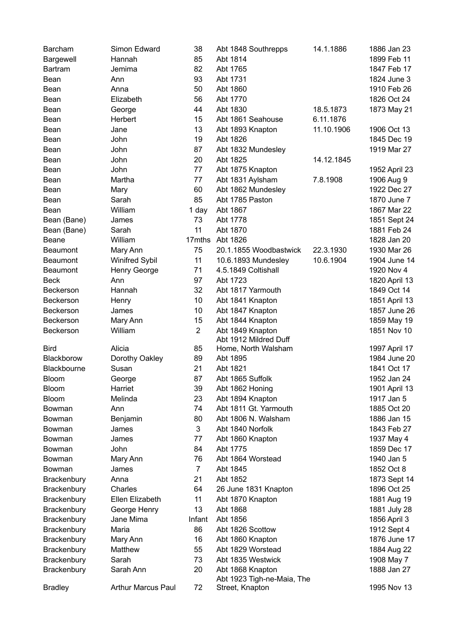| Barcham         | Simon Edward              | 38             | Abt 1848 Southrepps        | 14.1.1886  | 1886 Jan 23   |
|-----------------|---------------------------|----------------|----------------------------|------------|---------------|
| Bargewell       | Hannah                    | 85             | Abt 1814                   |            | 1899 Feb 11   |
| <b>Bartram</b>  | Jemima                    | 82             | Abt 1765                   |            | 1847 Feb 17   |
| Bean            | Ann                       | 93             | Abt 1731                   |            | 1824 June 3   |
| Bean            | Anna                      | 50             | Abt 1860                   |            | 1910 Feb 26   |
| Bean            | Elizabeth                 | 56             | Abt 1770                   |            | 1826 Oct 24   |
| Bean            | George                    | 44             | Abt 1830                   | 18.5.1873  | 1873 May 21   |
| Bean            | Herbert                   | 15             | Abt 1861 Seahouse          | 6.11.1876  |               |
| Bean            | Jane                      | 13             | Abt 1893 Knapton           | 11.10.1906 | 1906 Oct 13   |
| Bean            | John                      | 19             | Abt 1826                   |            | 1845 Dec 19   |
| Bean            | John                      | 87             | Abt 1832 Mundesley         |            | 1919 Mar 27   |
| Bean            | John                      | 20             | Abt 1825                   | 14.12.1845 |               |
| Bean            | John                      | 77             | Abt 1875 Knapton           |            | 1952 April 23 |
| Bean            | Martha                    | 77             | Abt 1831 Aylsham           | 7.8.1908   | 1906 Aug 9    |
| Bean            | Mary                      | 60             | Abt 1862 Mundesley         |            | 1922 Dec 27   |
| Bean            | Sarah                     | 85             | Abt 1785 Paston            |            | 1870 June 7   |
| Bean            | William                   | 1 day          | Abt 1867                   |            | 1867 Mar 22   |
| Bean (Bane)     | James                     | 73             | Abt 1778                   |            | 1851 Sept 24  |
| Bean (Bane)     | Sarah                     | 11             | Abt 1870                   |            | 1881 Feb 24   |
| <b>Beane</b>    | William                   | 17mths         | Abt 1826                   |            | 1828 Jan 20   |
| <b>Beaumont</b> | Mary Ann                  | 75             | 20.1.1855 Woodbastwick     | 22.3.1930  | 1930 Mar 26   |
| <b>Beaumont</b> | <b>Winifred Sybil</b>     | 11             | 10.6.1893 Mundesley        | 10.6.1904  | 1904 June 14  |
| <b>Beaumont</b> | Henry George              | 71             | 4.5.1849 Coltishall        |            | 1920 Nov 4    |
| <b>Beck</b>     | Ann                       | 97             | Abt 1723                   |            | 1820 April 13 |
| Beckerson       | Hannah                    | 32             | Abt 1817 Yarmouth          |            | 1849 Oct 14   |
| Beckerson       | Henry                     | 10             | Abt 1841 Knapton           |            | 1851 April 13 |
| Beckerson       | James                     | 10             | Abt 1847 Knapton           |            | 1857 June 26  |
| Beckerson       | Mary Ann                  | 15             | Abt 1844 Knapton           |            | 1859 May 19   |
| Beckerson       | William                   | $\overline{2}$ | Abt 1849 Knapton           |            | 1851 Nov 10   |
|                 |                           |                | Abt 1912 Mildred Duff      |            |               |
| <b>Bird</b>     | Alicia                    | 85             | Home, North Walsham        |            | 1997 April 17 |
| Blackborow      | Dorothy Oakley            | 89             | Abt 1895                   |            | 1984 June 20  |
| Blackbourne     | Susan                     | 21             | Abt 1821                   |            | 1841 Oct 17   |
| <b>Bloom</b>    | George                    | 87             | Abt 1865 Suffolk           |            | 1952 Jan 24   |
| <b>Bloom</b>    | Harriet                   | 39             | Abt 1862 Honing            |            | 1901 April 13 |
| <b>Bloom</b>    | Melinda                   | 23             | Abt 1894 Knapton           |            | 1917 Jan 5    |
| Bowman          | Ann                       | 74             | Abt 1811 Gt. Yarmouth      |            | 1885 Oct 20   |
| Bowman          | Benjamin                  | 80             | Abt 1806 N. Walsham        |            | 1886 Jan 15   |
| Bowman          | James                     | 3              | Abt 1840 Norfolk           |            | 1843 Feb 27   |
| Bowman          | James                     | 77             | Abt 1860 Knapton           |            | 1937 May 4    |
| Bowman          | John                      | 84             | Abt 1775                   |            | 1859 Dec 17   |
| Bowman          | Mary Ann                  | 76             | Abt 1864 Worstead          |            | 1940 Jan 5    |
| Bowman          | James                     | $\overline{7}$ | Abt 1845                   |            | 1852 Oct 8    |
| Brackenbury     | Anna                      | 21             | Abt 1852                   |            | 1873 Sept 14  |
| Brackenbury     | Charles                   | 64             | 26 June 1831 Knapton       |            | 1896 Oct 25   |
| Brackenbury     | Ellen Elizabeth           | 11             | Abt 1870 Knapton           |            | 1881 Aug 19   |
| Brackenbury     | George Henry              | 13             | Abt 1868                   |            | 1881 July 28  |
| Brackenbury     | Jane Mima                 | Infant         | Abt 1856                   |            | 1856 April 3  |
| Brackenbury     | Maria                     | 86             | Abt 1826 Scottow           |            | 1912 Sept 4   |
| Brackenbury     | Mary Ann                  | 16             | Abt 1860 Knapton           |            | 1876 June 17  |
| Brackenbury     | Matthew                   | 55             | Abt 1829 Worstead          |            | 1884 Aug 22   |
| Brackenbury     | Sarah                     | 73             | Abt 1835 Westwick          |            | 1908 May 7    |
| Brackenbury     | Sarah Ann                 | 20             | Abt 1868 Knapton           |            | 1888 Jan 27   |
|                 |                           |                | Abt 1923 Tigh-ne-Maia, The |            |               |
| <b>Bradley</b>  | <b>Arthur Marcus Paul</b> | 72             | Street, Knapton            |            | 1995 Nov 13   |
|                 |                           |                |                            |            |               |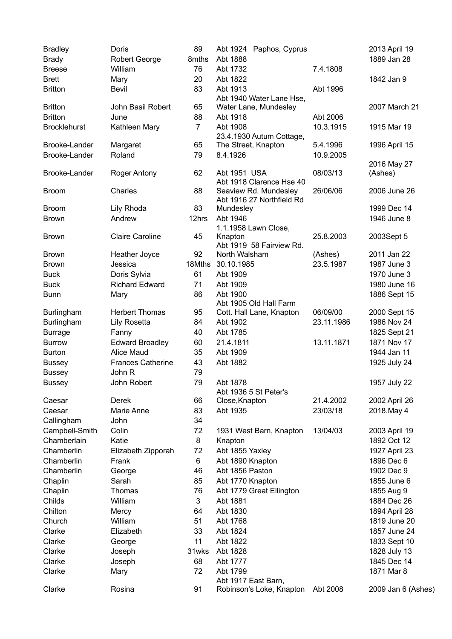| <b>Bradley</b>      | Doris                    | 89             | Abt 1924 Paphos, Cyprus              |            | 2013 April 19      |
|---------------------|--------------------------|----------------|--------------------------------------|------------|--------------------|
| <b>Brady</b>        | Robert George            | 8mths          | Abt 1888                             |            | 1889 Jan 28        |
| <b>Breese</b>       | William                  | 76             | Abt 1732                             | 7.4.1808   |                    |
| <b>Brett</b>        | Mary                     | 20             | Abt 1822                             |            | 1842 Jan 9         |
| <b>Britton</b>      | Bevil                    | 83             | Abt 1913<br>Abt 1940 Water Lane Hse, | Abt 1996   |                    |
| <b>Britton</b>      | John Basil Robert        | 65             | Water Lane, Mundesley                |            | 2007 March 21      |
| <b>Britton</b>      | June                     | 88             | Abt 1918                             | Abt 2006   |                    |
| <b>Brocklehurst</b> | Kathleen Mary            | $\overline{7}$ | Abt 1908                             | 10.3.1915  | 1915 Mar 19        |
|                     |                          |                | 23.4.1930 Autum Cottage,             |            |                    |
| Brooke-Lander       | Margaret                 | 65             | The Street, Knapton                  | 5.4.1996   | 1996 April 15      |
| Brooke-Lander       | Roland                   | 79             | 8.4.1926                             | 10.9.2005  |                    |
|                     |                          |                |                                      |            | 2016 May 27        |
| Brooke-Lander       | Roger Antony             | 62             | Abt 1951 USA                         | 08/03/13   | (Ashes)            |
|                     |                          |                | Abt 1918 Clarence Hse 40             |            |                    |
| <b>Broom</b>        | Charles                  | 88             | Seaview Rd. Mundesley                | 26/06/06   | 2006 June 26       |
| <b>Broom</b>        |                          | 83             | Abt 1916 27 Northfield Rd            |            | 1999 Dec 14        |
|                     | Lily Rhoda<br>Andrew     |                | Mundesley<br>Abt 1946                |            | 1946 June 8        |
| <b>Brown</b>        |                          | 12hrs          | 1.1.1958 Lawn Close,                 |            |                    |
| <b>Brown</b>        | <b>Claire Caroline</b>   | 45             | Knapton                              | 25.8.2003  | 2003Sept 5         |
|                     |                          |                | Abt 1919 58 Fairview Rd.             |            |                    |
| <b>Brown</b>        | Heather Joyce            | 92             | North Walsham                        | (Ashes)    | 2011 Jan 22        |
| <b>Brown</b>        | Jessica                  | 18Mths         | 30.10.1985                           | 23.5.1987  | 1987 June 3        |
| <b>Buck</b>         | Doris Sylvia             | 61             | Abt 1909                             |            | 1970 June 3        |
| <b>Buck</b>         | <b>Richard Edward</b>    | 71             | Abt 1909                             |            | 1980 June 16       |
| <b>Bunn</b>         | Mary                     | 86             | Abt 1900                             |            | 1886 Sept 15       |
|                     |                          |                | Abt 1905 Old Hall Farm               |            |                    |
| <b>Burlingham</b>   | <b>Herbert Thomas</b>    | 95             | Cott. Hall Lane, Knapton             | 06/09/00   | 2000 Sept 15       |
| Burlingham          | <b>Lily Rosetta</b>      | 84             | Abt 1902                             | 23.11.1986 | 1986 Nov 24        |
| <b>Burrage</b>      | Fanny                    | 40             | Abt 1785                             |            | 1825 Sept 21       |
| <b>Burrow</b>       | <b>Edward Broadley</b>   | 60             | 21.4.1811                            | 13.11.1871 | 1871 Nov 17        |
| <b>Burton</b>       | <b>Alice Maud</b>        | 35             | Abt 1909                             |            | 1944 Jan 11        |
| <b>Bussey</b>       | <b>Frances Catherine</b> | 43             | Abt 1882                             |            | 1925 July 24       |
| <b>Bussey</b>       | John R                   | 79             |                                      |            |                    |
| <b>Bussey</b>       | John Robert              | 79             | Abt 1878                             |            | 1957 July 22       |
|                     |                          |                | Abt 1936 5 St Peter's                |            |                    |
| Caesar              | Derek                    | 66             | Close, Knapton                       | 21.4.2002  | 2002 April 26      |
| Caesar              | Marie Anne               | 83             | Abt 1935                             | 23/03/18   | 2018.May 4         |
| Callingham          | John                     | 34             |                                      |            |                    |
| Campbell-Smith      | Colin                    | 72             | 1931 West Barn, Knapton              | 13/04/03   | 2003 April 19      |
| Chamberlain         | Katie                    | 8              | Knapton                              |            | 1892 Oct 12        |
| Chamberlin          | Elizabeth Zipporah       | 72             | Abt 1855 Yaxley                      |            | 1927 April 23      |
| Chamberlin          | Frank                    | 6              | Abt 1890 Knapton                     |            | 1896 Dec 6         |
| Chamberlin          | George                   | 46             | Abt 1856 Paston                      |            | 1902 Dec 9         |
| Chaplin             | Sarah                    | 85             | Abt 1770 Knapton                     |            | 1855 June 6        |
| Chaplin             | Thomas                   | 76             | Abt 1779 Great Ellington             |            | 1855 Aug 9         |
| Childs              | William                  | 3              | Abt 1881                             |            | 1884 Dec 26        |
| Chilton             | Mercy                    | 64             | Abt 1830                             |            | 1894 April 28      |
| Church              | William                  | 51             | Abt 1768                             |            | 1819 June 20       |
| Clarke              | Elizabeth                | 33             | Abt 1824                             |            | 1857 June 24       |
| Clarke              | George                   | 11             | Abt 1822                             |            | 1833 Sept 10       |
| Clarke              | Joseph                   | 31wks          | Abt 1828                             |            | 1828 July 13       |
| Clarke              | Joseph                   | 68             | Abt 1777                             |            | 1845 Dec 14        |
| Clarke              | Mary                     | 72             | Abt 1799                             |            | 1871 Mar 8         |
|                     |                          |                | Abt 1917 East Barn,                  |            |                    |
| Clarke              | Rosina                   | 91             | Robinson's Loke, Knapton             | Abt 2008   | 2009 Jan 6 (Ashes) |
|                     |                          |                |                                      |            |                    |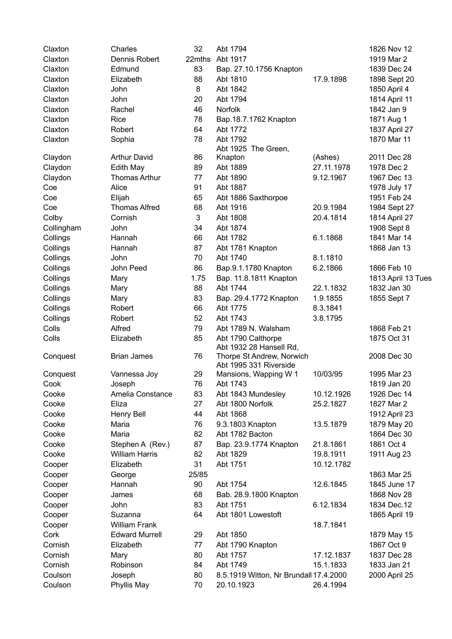| Claxton    | Charles               | 32     | Abt 1794                               |            | 1826 Nov 12        |
|------------|-----------------------|--------|----------------------------------------|------------|--------------------|
| Claxton    | Dennis Robert         | 22mths | Abt 1917                               |            | 1919 Mar 2         |
| Claxton    | Edmund                | 83     | Bap. 27.10.1756 Knapton                |            | 1839 Dec 24        |
| Claxton    | Elizabeth             | 88     | Abt 1810                               | 17.9.1898  | 1898 Sept 20       |
| Claxton    | John                  | 8      | Abt 1842                               |            | 1850 April 4       |
| Claxton    | John                  | 20     | Abt 1794                               |            | 1814 April 11      |
| Claxton    | Rachel                | 46     | Norfolk                                |            | 1842 Jan 9         |
| Claxton    | Rice                  | 78     | Bap.18.7.1762 Knapton                  |            | 1871 Aug 1         |
| Claxton    | Robert                | 64     | Abt 1772                               |            | 1837 April 27      |
| Claxton    | Sophia                | 78     | Abt 1792                               |            | 1870 Mar 11        |
|            |                       |        | Abt 1925 The Green,                    |            |                    |
| Claydon    | <b>Arthur David</b>   | 86     | Knapton                                | (Ashes)    | 2011 Dec 28        |
| Claydon    | Edith May             | 89     | Abt 1889                               | 27.11.1978 | 1978 Dec 2         |
| Claydon    | <b>Thomas Arthur</b>  | 77     | Abt 1890                               | 9.12.1967  | 1967 Dec 13        |
| Coe        | Alice                 | 91     | Abt 1887                               |            | 1978 July 17       |
| Coe        | Elijah                | 65     | Abt 1886 Saxthorpoe                    |            | 1951 Feb 24        |
| Coe        | <b>Thomas Alfred</b>  | 68     | Abt 1916                               | 20.9.1984  | 1984 Sept 27       |
| Colby      | Cornish               | 3      | Abt 1808                               | 20.4.1814  | 1814 April 27      |
| Collingham | John                  | 34     | Abt 1874                               |            | 1908 Sept 8        |
| Collings   | Hannah                | 66     | Abt 1782                               | 6.1.1868   | 1841 Mar 14        |
| Collings   | Hannah                | 87     | Abt 1781 Knapton                       |            | 1868 Jan 13        |
| Collings   | John                  | 70     | Abt 1740                               | 8.1.1810   |                    |
| Collings   | John Peed             | 86     | Bap.9.1.1780 Knapton                   | 6.2.1866   | 1866 Feb 10        |
| Collings   | Mary                  | 1.75   | Bap. 11.8.1811 Knapton                 |            | 1813 April 13 Tues |
| Collings   | Mary                  | 88     | Abt 1744                               | 22.1.1832  | 1832 Jan 30        |
| Collings   | Mary                  | 83     | Bap. 29.4.1772 Knapton                 | 1.9.1855   | 1855 Sept 7        |
| Collings   | Robert                | 66     | Abt 1775                               | 8.3.1841   |                    |
| Collings   | Robert                | 52     | Abt 1743                               | 3.8.1795   |                    |
| Colls      | Alfred                | 79     | Abt 1789 N. Walsham                    |            | 1868 Feb 21        |
| Colls      | Elizabeth             | 85     | Abt 1790 Calthorpe                     |            | 1875 Oct 31        |
|            |                       |        | Abt 1932 28 Hansell Rd,                |            |                    |
| Conquest   | <b>Brian James</b>    | 76     | Thorpe St Andrew, Norwich              |            | 2008 Dec 30        |
|            |                       |        | Abt 1995 331 Riverside                 |            |                    |
| Conquest   | Vannessa Joy          | 29     | Mansions, Wapping W 1                  | 10/03/95   | 1995 Mar 23        |
| Cook       | Joseph                | 76     | Abt 1743                               |            | 1819 Jan 20        |
| Cooke      | Amelia Constance      | 83     | Abt 1843 Mundesley                     | 10.12.1926 | 1926 Dec 14        |
| Cooke      | Eliza                 | 27     | Abt 1800 Norfolk                       | 25.2.1827  | 1827 Mar 2         |
| Cooke      | Henry Bell            | 44     | Abt 1868                               |            | 1912 April 23      |
| Cooke      | Maria                 | 76     | 9.3.1803 Knapton                       | 13.5.1879  | 1879 May 20        |
| Cooke      | Maria                 | 82     | Abt 1782 Bacton                        |            | 1864 Dec 30        |
| Cooke      | Stephen A (Rev.)      | 87     | Bap. 23.9.1774 Knapton                 | 21.8.1861  | 1861 Oct 4         |
| Cooke      | <b>William Harris</b> | 82     | Abt 1829                               | 19.8.1911  | 1911 Aug 23        |
| Cooper     | Elizabeth             | 31     | Abt 1751                               | 10.12.1782 |                    |
| Cooper     | George                | 25/85  |                                        |            | 1863 Mar 25        |
| Cooper     | Hannah                | 90     | Abt 1754                               | 12.6.1845  | 1845 June 17       |
| Cooper     | James                 | 68     | Bab. 28.9.1800 Knapton                 |            | 1868 Nov 28        |
| Cooper     | John                  | 83     | Abt 1751                               | 6.12.1834  | 1834 Dec.12        |
| Cooper     | Suzanna               | 64     | Abt 1801 Lowestoft                     |            | 1865 April 19      |
| Cooper     | <b>William Frank</b>  |        |                                        | 18.7.1841  |                    |
| Cork       | <b>Edward Murrell</b> | 29     | Abt 1850                               |            | 1879 May 15        |
| Cornish    | Elizabeth             | 77     | Abt 1790 Knapton                       |            | 1867 Oct 9         |
| Cornish    |                       | 80     | Abt 1757                               | 17.12.1837 | 1837 Dec 28        |
| Cornish    | Mary<br>Robinson      | 84     | Abt 1749                               | 15.1.1833  | 1833 Jan 21        |
|            |                       |        |                                        |            |                    |
| Coulson    | Joseph                | 80     | 8.5.1919 Witton, Nr Brundall 17.4.2000 |            | 2000 April 25      |
| Coulson    | Phyllis May           | 70     | 20.10.1923                             | 26.4.1994  |                    |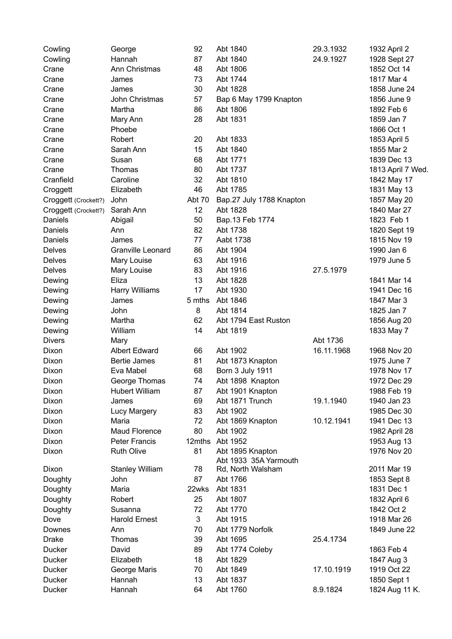| Cowling              | George                 | 92     | Abt 1840                 | 29.3.1932  | 1932 April 2               |
|----------------------|------------------------|--------|--------------------------|------------|----------------------------|
| Cowling              | Hannah                 | 87     | Abt 1840                 | 24.9.1927  | 1928 Sept 27               |
| Crane                | Ann Christmas          | 48     | Abt 1806                 |            | 1852 Oct 14                |
| Crane                | James                  | 73     | Abt 1744                 |            | 1817 Mar 4                 |
| Crane                | James                  | 30     | Abt 1828                 |            | 1858 June 24               |
| Crane                | John Christmas         | 57     | Bap 6 May 1799 Knapton   |            | 1856 June 9                |
| Crane                | Martha                 | 86     | Abt 1806                 |            | 1892 Feb 6                 |
| Crane                | Mary Ann               | 28     | Abt 1831                 |            | 1859 Jan 7                 |
| Crane                | Phoebe                 |        |                          |            | 1866 Oct 1                 |
| Crane                | Robert                 | 20     | Abt 1833                 |            | 1853 April 5               |
| Crane                | Sarah Ann              | 15     | Abt 1840                 |            | 1855 Mar 2                 |
| Crane                | Susan                  | 68     | Abt 1771                 |            | 1839 Dec 13                |
| Crane                | Thomas                 | 80     | Abt 1737                 |            | 1813 April 7 Wed.          |
| Cranfield            | Caroline               | 32     | Abt 1810                 |            | 1842 May 17                |
| Croggett             | Elizabeth              | 46     | Abt 1785                 |            | 1831 May 13                |
| Croggett (Crockett?) | John                   | Abt 70 | Bap.27 July 1788 Knapton |            | 1857 May 20                |
| Croggett (Crockett?) | Sarah Ann              | 12     | Abt 1828                 |            | 1840 Mar 27                |
| Daniels              | Abigail                | 50     | Bap.13 Feb 1774          |            | 1823 Feb 1                 |
| Daniels              | Ann                    | 82     | Abt 1738                 |            | 1820 Sept 19               |
| Daniels              | James                  | 77     | Aabt 1738                |            | 1815 Nov 19                |
| <b>Delves</b>        | Granville Leonard      | 86     | Abt 1904                 |            | 1990 Jan 6                 |
| <b>Delves</b>        | Mary Louise            | 63     | Abt 1916                 |            | 1979 June 5                |
| Delves               | Mary Louise            | 83     | Abt 1916                 | 27.5.1979  |                            |
| Dewing               | Eliza                  | 13     | Abt 1828                 |            | 1841 Mar 14                |
| Dewing               | Harry Williams         | 17     | Abt 1930                 |            | 1941 Dec 16                |
| Dewing               | James                  | 5 mths | Abt 1846                 |            | 1847 Mar 3                 |
| Dewing               | John                   | 8      | Abt 1814                 |            | 1825 Jan 7                 |
| Dewing               | Martha                 | 62     | Abt 1794 East Ruston     |            | 1856 Aug 20                |
| Dewing               | William                | 14     | Abt 1819                 |            | 1833 May 7                 |
| <b>Divers</b>        | Mary                   |        |                          | Abt 1736   |                            |
| Dixon                | <b>Albert Edward</b>   | 66     | Abt 1902                 | 16.11.1968 | 1968 Nov 20                |
| Dixon                | <b>Bertie James</b>    | 81     | Abt 1873 Knapton         |            | 1975 June 7                |
| Dixon                | Eva Mabel              | 68     | <b>Born 3 July 1911</b>  |            | 1978 Nov 17                |
| Dixon                | George Thomas          | 74     | Abt 1898 Knapton         |            | 1972 Dec 29                |
| Dixon                | <b>Hubert William</b>  | 87     | Abt 1901 Knapton         |            | 1988 Feb 19                |
| Dixon                | James                  | 69     | Abt 1871 Trunch          | 19.1.1940  | 1940 Jan 23                |
| Dixon                | <b>Lucy Margery</b>    | 83     | Abt 1902                 |            | 1985 Dec 30                |
| Dixon                | Maria                  | 72     | Abt 1869 Knapton         | 10.12.1941 | 1941 Dec 13                |
| Dixon                | Maud Florence          | 80     | Abt 1902                 |            |                            |
| Dixon                | <b>Peter Francis</b>   | 12mths | Abt 1952                 |            | 1982 April 28              |
| Dixon                | <b>Ruth Olive</b>      | 81     | Abt 1895 Knapton         |            | 1953 Aug 13<br>1976 Nov 20 |
|                      |                        |        | Abt 1933 35A Yarmouth    |            |                            |
| Dixon                | <b>Stanley William</b> | 78     | Rd, North Walsham        |            | 2011 Mar 19                |
| Doughty              | John                   | 87     | Abt 1766                 |            | 1853 Sept 8                |
| Doughty              | Maria                  | 22wks  | Abt 1831                 |            | 1831 Dec 1                 |
| Doughty              | Robert                 | 25     | Abt 1807                 |            | 1832 April 6               |
| Doughty              | Susanna                | 72     | Abt 1770                 |            | 1842 Oct 2                 |
| Dove                 | <b>Harold Ernest</b>   | 3      | Abt 1915                 |            | 1918 Mar 26                |
| Downes               | Ann                    | 70     | Abt 1779 Norfolk         |            | 1849 June 22               |
| <b>Drake</b>         | Thomas                 | 39     | Abt 1695                 | 25.4.1734  |                            |
| Ducker               | David                  | 89     | Abt 1774 Coleby          |            | 1863 Feb 4                 |
| Ducker               | Elizabeth              | 18     | Abt 1829                 |            | 1847 Aug 3                 |
| <b>Ducker</b>        | George Maris           | 70     | Abt 1849                 | 17.10.1919 | 1919 Oct 22                |
| Ducker               | Hannah                 | 13     | Abt 1837                 |            | 1850 Sept 1                |
| Ducker               | Hannah                 | 64     | Abt 1760                 | 8.9.1824   | 1824 Aug 11 K.             |
|                      |                        |        |                          |            |                            |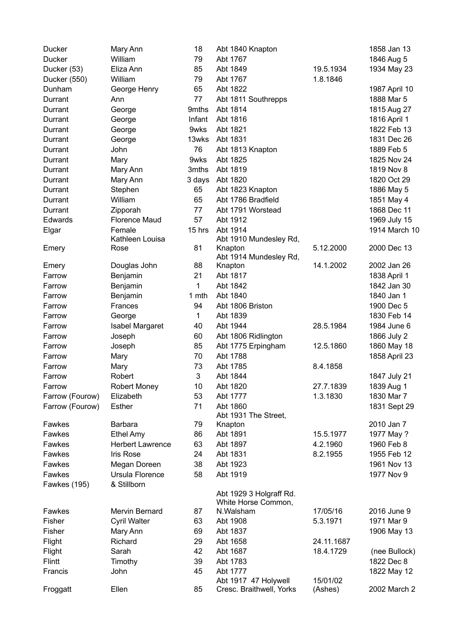| <b>Ducker</b>   | Mary Ann                | 18     | Abt 1840 Knapton                                 |            | 1858 Jan 13   |
|-----------------|-------------------------|--------|--------------------------------------------------|------------|---------------|
| <b>Ducker</b>   | William                 | 79     | Abt 1767                                         |            | 1846 Aug 5    |
| Ducker (53)     | Eliza Ann               | 85     | Abt 1849                                         | 19.5.1934  | 1934 May 23   |
| Ducker (550)    | William                 | 79     | Abt 1767                                         | 1.8.1846   |               |
| Dunham          | George Henry            | 65     | Abt 1822                                         |            | 1987 April 10 |
| Durrant         | Ann                     | 77     | Abt 1811 Southrepps                              |            | 1888 Mar 5    |
| Durrant         | George                  | 9mths  | Abt 1814                                         |            | 1815 Aug 27   |
| Durrant         | George                  | Infant | Abt 1816                                         |            | 1816 April 1  |
| Durrant         | George                  | 9wks   | Abt 1821                                         |            | 1822 Feb 13   |
| Durrant         | George                  | 13wks  | Abt 1831                                         |            | 1831 Dec 26   |
| Durrant         | John                    | 76     | Abt 1813 Knapton                                 |            | 1889 Feb 5    |
| Durrant         | Mary                    | 9wks   | Abt 1825                                         |            | 1825 Nov 24   |
| Durrant         | Mary Ann                | 3mths  | Abt 1819                                         |            | 1819 Nov 8    |
| Durrant         | Mary Ann                | 3 days | Abt 1820                                         |            | 1820 Oct 29   |
| Durrant         | Stephen                 | 65     | Abt 1823 Knapton                                 |            | 1886 May 5    |
| Durrant         | William                 | 65     | Abt 1786 Bradfield                               |            | 1851 May 4    |
| Durrant         | Zipporah                | 77     | Abt 1791 Worstead                                |            | 1868 Dec 11   |
| Edwards         | <b>Florence Maud</b>    | 57     | Abt 1912                                         |            | 1969 July 15  |
| Elgar           | Female                  | 15 hrs | Abt 1914                                         |            | 1914 March 10 |
|                 | Kathleen Louisa         |        | Abt 1910 Mundesley Rd,                           |            |               |
| Emery           | Rose                    | 81     | Knapton                                          | 5.12.2000  | 2000 Dec 13   |
|                 |                         |        | Abt 1914 Mundesley Rd,                           |            |               |
| Emery           | Douglas John            | 88     | Knapton                                          | 14.1.2002  | 2002 Jan 26   |
| Farrow          | Benjamin                | 21     | Abt 1817                                         |            | 1838 April 1  |
| Farrow          | Benjamin                | 1      | Abt 1842                                         |            | 1842 Jan 30   |
| Farrow          | Benjamin                | 1 mth  | Abt 1840                                         |            | 1840 Jan 1    |
| Farrow          | Frances                 | 94     | Abt 1806 Briston                                 |            | 1900 Dec 5    |
| Farrow          | George                  | 1      | Abt 1839                                         |            | 1830 Feb 14   |
| Farrow          | <b>Isabel Margaret</b>  | 40     | Abt 1944                                         | 28.5.1984  | 1984 June 6   |
| Farrow          | Joseph                  | 60     | Abt 1806 Ridlington                              |            | 1866 July 2   |
| Farrow          | Joseph                  | 85     | Abt 1775 Erpingham                               | 12.5.1860  | 1860 May 18   |
| Farrow          | Mary                    | 70     | Abt 1788                                         |            | 1858 April 23 |
| Farrow          | Mary                    | 73     | Abt 1785                                         | 8.4.1858   |               |
| Farrow          | Robert                  | 3      | Abt 1844                                         |            | 1847 July 21  |
| Farrow          | <b>Robert Money</b>     | 10     | Abt 1820                                         | 27.7.1839  | 1839 Aug 1    |
| Farrow (Fourow) | Elizabeth               | 53     | Abt 1777                                         | 1.3.1830   | 1830 Mar 7    |
| Farrow (Fourow) | Esther                  | 71     | Abt 1860                                         |            | 1831 Sept 29  |
|                 |                         |        | Abt 1931 The Street,                             |            |               |
| Fawkes          | Barbara                 | 79     | Knapton                                          |            | 2010 Jan 7    |
| Fawkes          | <b>Ethel Amy</b>        | 86     | Abt 1891                                         | 15.5.1977  | 1977 May ?    |
| Fawkes          | <b>Herbert Lawrence</b> | 63     | Abt 1897                                         | 4.2.1960   | 1960 Feb 8    |
| Fawkes          | Iris Rose               | 24     | Abt 1831                                         | 8.2.1955   | 1955 Feb 12   |
| Fawkes          | Megan Doreen            | 38     | Abt 1923                                         |            | 1961 Nov 13   |
| Fawkes          | Ursula Florence         | 58     | Abt 1919                                         |            | 1977 Nov 9    |
| Fawkes (195)    | & Stillborn             |        |                                                  |            |               |
|                 |                         |        | Abt 1929 3 Holgraff Rd.                          |            |               |
|                 | Mervin Bernard          |        | White Horse Common,                              |            |               |
| Fawkes          |                         | 87     | N.Walsham                                        | 17/05/16   | 2016 June 9   |
| Fisher          | <b>Cyril Walter</b>     | 63     | Abt 1908                                         | 5.3.1971   | 1971 Mar 9    |
| Fisher          | Mary Ann                | 69     | Abt 1837                                         |            | 1906 May 13   |
| Flight          | Richard                 | 29     | Abt 1658                                         | 24.11.1687 |               |
| Flight          | Sarah                   | 42     | Abt 1687                                         | 18.4.1729  | (nee Bullock) |
| <b>Flintt</b>   | Timothy                 | 39     | Abt 1783                                         |            | 1822 Dec 8    |
| Francis         | John                    | 45     | Abt 1777                                         | 15/01/02   | 1822 May 12   |
| Froggatt        | Ellen                   | 85     | Abt 1917 47 Holywell<br>Cresc. Braithwell, Yorks | (Ashes)    | 2002 March 2  |
|                 |                         |        |                                                  |            |               |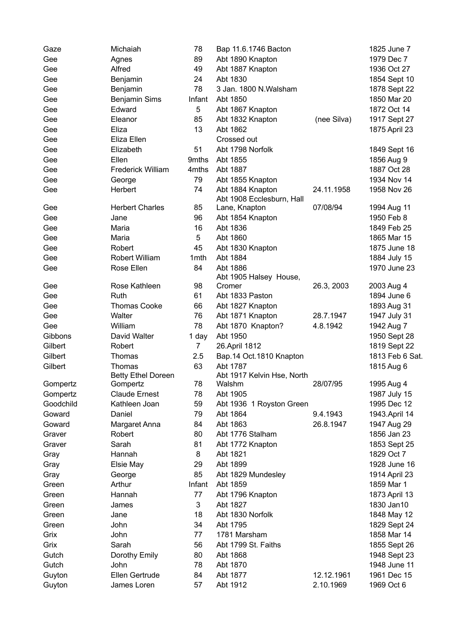| Gaze      | Michaiah                  | 78             | Bap 11.6.1746 Bacton       |             | 1825 June 7     |
|-----------|---------------------------|----------------|----------------------------|-------------|-----------------|
| Gee       | Agnes                     | 89             | Abt 1890 Knapton           |             | 1979 Dec 7      |
| Gee       | Alfred                    | 49             | Abt 1887 Knapton           |             | 1936 Oct 27     |
| Gee       | Benjamin                  | 24             | Abt 1830                   |             | 1854 Sept 10    |
| Gee       | Benjamin                  | 78             | 3 Jan. 1800 N.Walsham      |             | 1878 Sept 22    |
| Gee       | <b>Benjamin Sims</b>      | Infant         | Abt 1850                   |             | 1850 Mar 20     |
| Gee       | Edward                    | 5              | Abt 1867 Knapton           |             | 1872 Oct 14     |
| Gee       | Eleanor                   | 85             | Abt 1832 Knapton           | (nee Silva) | 1917 Sept 27    |
| Gee       | Eliza                     | 13             | Abt 1862                   |             | 1875 April 23   |
| Gee       | Eliza Ellen               |                | Crossed out                |             |                 |
| Gee       | Elizabeth                 | 51             | Abt 1798 Norfolk           |             | 1849 Sept 16    |
| Gee       | Ellen                     | 9mths          | Abt 1855                   |             | 1856 Aug 9      |
| Gee       | <b>Frederick William</b>  | 4mths          | Abt 1887                   |             | 1887 Oct 28     |
| Gee       | George                    | 79             | Abt 1855 Knapton           |             | 1934 Nov 14     |
| Gee       | Herbert                   | 74             | Abt 1884 Knapton           | 24.11.1958  | 1958 Nov 26     |
|           |                           |                | Abt 1908 Ecclesburn, Hall  |             |                 |
| Gee       | <b>Herbert Charles</b>    | 85             | Lane, Knapton              | 07/08/94    | 1994 Aug 11     |
| Gee       | Jane                      | 96             | Abt 1854 Knapton           |             | 1950 Feb 8      |
| Gee       | Maria                     | 16             | Abt 1836                   |             | 1849 Feb 25     |
| Gee       | Maria                     | 5              | Abt 1860                   |             | 1865 Mar 15     |
| Gee       | Robert                    | 45             | Abt 1830 Knapton           |             | 1875 June 18    |
| Gee       | <b>Robert William</b>     | 1mth           | Abt 1884                   |             | 1884 July 15    |
| Gee       | Rose Ellen                | 84             | Abt 1886                   |             | 1970 June 23    |
|           |                           |                | Abt 1905 Halsey House,     |             |                 |
| Gee       | Rose Kathleen             | 98             | Cromer                     | 26.3, 2003  | 2003 Aug 4      |
| Gee       | Ruth                      | 61             | Abt 1833 Paston            |             | 1894 June 6     |
| Gee       | <b>Thomas Cooke</b>       | 66             | Abt 1827 Knapton           |             | 1893 Aug 31     |
| Gee       | Walter                    | 76             | Abt 1871 Knapton           | 28.7.1947   | 1947 July 31    |
| Gee       | William                   | 78             | Abt 1870 Knapton?          | 4.8.1942    | 1942 Aug 7      |
| Gibbons   | David Walter              | 1 day          | Abt 1950                   |             | 1950 Sept 28    |
| Gilbert   | Robert                    | 7 <sup>1</sup> | 26. April 1812             |             | 1819 Sept 22    |
| Gilbert   | Thomas                    | 2.5            | Bap.14 Oct.1810 Knapton    |             | 1813 Feb 6 Sat. |
| Gilbert   | Thomas                    | 63             | Abt 1787                   |             | 1815 Aug 6      |
|           | <b>Betty Ethel Doreen</b> |                | Abt 1917 Kelvin Hse, North |             |                 |
| Gompertz  | Gompertz                  | 78             | Walshm                     | 28/07/95    | 1995 Aug 4      |
| Gompertz  | <b>Claude Ernest</b>      | 78             | Abt 1905                   |             | 1987 July 15    |
| Goodchild | Kathleen Joan             | 59             | Abt 1936 1 Royston Green   |             | 1995 Dec 12     |
| Goward    | Daniel                    | 79             | Abt 1864                   | 9.4.1943    | 1943. April 14  |
| Goward    | Margaret Anna             | 84             | Abt 1863                   | 26.8.1947   | 1947 Aug 29     |
| Graver    | Robert                    | 80             | Abt 1776 Stalham           |             | 1856 Jan 23     |
| Graver    | Sarah                     | 81             | Abt 1772 Knapton           |             | 1853 Sept 25    |
| Gray      | Hannah                    | 8              | Abt 1821                   |             | 1829 Oct 7      |
| Gray      | Elsie May                 | 29             | Abt 1899                   |             | 1928 June 16    |
| Gray      | George                    | 85             | Abt 1829 Mundesley         |             | 1914 April 23   |
| Green     | Arthur                    | Infant         | Abt 1859                   |             | 1859 Mar 1      |
| Green     | Hannah                    | 77             | Abt 1796 Knapton           |             | 1873 April 13   |
| Green     | James                     | 3              | Abt 1827                   |             | 1830 Jan10      |
| Green     | Jane                      | 18             | Abt 1830 Norfolk           |             | 1848 May 12     |
| Green     | John                      | 34             | Abt 1795                   |             | 1829 Sept 24    |
| Grix      | John                      | 77             | 1781 Marsham               |             | 1858 Mar 14     |
| Grix      | Sarah                     | 56             | Abt 1799 St. Faiths        |             | 1855 Sept 26    |
| Gutch     | Dorothy Emily             | 80             | Abt 1868                   |             | 1948 Sept 23    |
| Gutch     | John                      | 78             | Abt 1870                   |             | 1948 June 11    |
| Guyton    | Ellen Gertrude            | 84             | Abt 1877                   | 12.12.1961  | 1961 Dec 15     |
| Guyton    | James Loren               | 57             | Abt 1912                   | 2.10.1969   | 1969 Oct 6      |
|           |                           |                |                            |             |                 |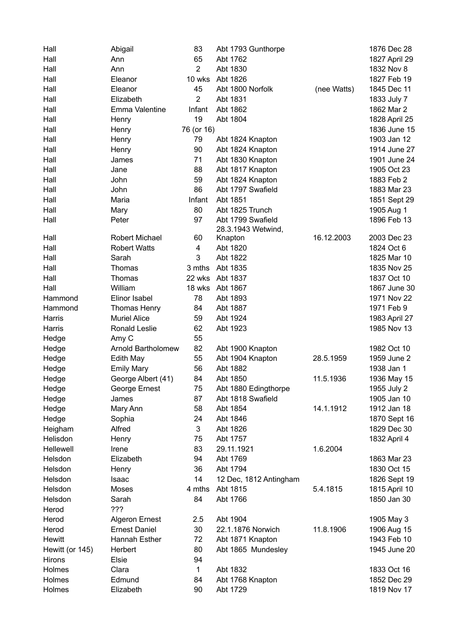| Hall            | Abigail                                 | 83             | Abt 1793 Gunthorpe     |             | 1876 Dec 28   |
|-----------------|-----------------------------------------|----------------|------------------------|-------------|---------------|
| Hall            | Ann                                     | 65             | Abt 1762               |             | 1827 April 29 |
| Hall            | Ann                                     | $\overline{2}$ | Abt 1830               |             | 1832 Nov 8    |
| Hall            | Eleanor                                 | 10 wks         | Abt 1826               |             | 1827 Feb 19   |
| Hall            | Eleanor                                 | 45             | Abt 1800 Norfolk       | (nee Watts) | 1845 Dec 11   |
| Hall            | Elizabeth                               | $\overline{2}$ | Abt 1831               |             | 1833 July 7   |
| Hall            | Emma Valentine                          | Infant         | Abt 1862               |             | 1862 Mar 2    |
| Hall            | Henry                                   | 19             | Abt 1804               |             | 1828 April 25 |
| Hall            | Henry                                   | 76 (or 16)     |                        |             | 1836 June 15  |
| Hall            | Henry                                   | 79             | Abt 1824 Knapton       |             | 1903 Jan 12   |
| Hall            | Henry                                   | 90             | Abt 1824 Knapton       |             | 1914 June 27  |
| Hall            | James                                   | 71             | Abt 1830 Knapton       |             | 1901 June 24  |
| Hall            | Jane                                    | 88             | Abt 1817 Knapton       |             | 1905 Oct 23   |
| Hall            | John                                    | 59             | Abt 1824 Knapton       |             | 1883 Feb 2    |
| Hall            | John                                    | 86             | Abt 1797 Swafield      |             | 1883 Mar 23   |
| Hall            | Maria                                   | Infant         | Abt 1851               |             | 1851 Sept 29  |
| Hall            | Mary                                    | 80             | Abt 1825 Trunch        |             | 1905 Aug 1    |
| Hall            | Peter                                   | 97             | Abt 1799 Swafield      |             | 1896 Feb 13   |
|                 |                                         |                | 28.3.1943 Wetwind,     |             |               |
| Hall            | <b>Robert Michael</b>                   | 60             | Knapton                | 16.12.2003  | 2003 Dec 23   |
| Hall            | <b>Robert Watts</b>                     | 4              | Abt 1820               |             | 1824 Oct 6    |
| Hall            | Sarah                                   | 3              | Abt 1822               |             | 1825 Mar 10   |
| Hall            | Thomas                                  | 3 mths         | Abt 1835               |             | 1835 Nov 25   |
| Hall            | Thomas                                  | 22 wks         | Abt 1837               |             | 1837 Oct 10   |
| Hall            | William                                 | 18 wks         | Abt 1867               |             | 1867 June 30  |
| Hammond         | Elinor Isabel                           | 78             | Abt 1893               |             | 1971 Nov 22   |
| Hammond         | <b>Thomas Henry</b>                     | 84             | Abt 1887               |             | 1971 Feb 9    |
| Harris          | <b>Muriel Alice</b>                     | 59             | Abt 1924               |             | 1983 April 27 |
| Harris          | <b>Ronald Leslie</b>                    | 62             | Abt 1923               |             | 1985 Nov 13   |
| Hedge           | Amy C                                   | 55             |                        |             |               |
| Hedge           | <b>Arnold Bartholomew</b>               | 82             | Abt 1900 Knapton       |             | 1982 Oct 10   |
|                 | Edith May                               | 55             | Abt 1904 Knapton       | 28.5.1959   | 1959 June 2   |
| Hedge           |                                         | 56             | Abt 1882               |             | 1938 Jan 1    |
| Hedge           | <b>Emily Mary</b><br>George Albert (41) | 84             | Abt 1850               | 11.5.1936   |               |
| Hedge           |                                         | 75             | Abt 1880 Edingthorpe   |             | 1936 May 15   |
| Hedge           | George Ernest                           |                |                        |             | 1955 July 2   |
| Hedge           | James                                   | 87             | Abt 1818 Swafield      |             | 1905 Jan 10   |
| Hedge           | Mary Ann                                | 58             | Abt 1854               | 14.1.1912   | 1912 Jan 18   |
| Hedge           | Sophia                                  | 24             | Abt 1846               |             | 1870 Sept 16  |
| Heigham         | Alfred                                  | 3              | Abt 1826               |             | 1829 Dec 30   |
| Helisdon        | Henry                                   | 75             | Abt 1757               |             | 1832 April 4  |
| Hellewell       | Irene                                   | 83             | 29.11.1921             | 1.6.2004    |               |
| Helsdon         | Elizabeth                               | 94             | Abt 1769               |             | 1863 Mar 23   |
| Helsdon         | Henry                                   | 36             | Abt 1794               |             | 1830 Oct 15   |
| Helsdon         | Isaac                                   | 14             | 12 Dec, 1812 Antingham |             | 1826 Sept 19  |
| Helsdon         | Moses                                   | 4 mths         | Abt 1815               | 5.4.1815    | 1815 April 10 |
| Helsdon         | Sarah                                   | 84             | Abt 1766               |             | 1850 Jan 30   |
| Herod           | ???                                     |                |                        |             |               |
| Herod           | <b>Algeron Ernest</b>                   | 2.5            | Abt 1904               |             | 1905 May 3    |
| Herod           | <b>Ernest Daniel</b>                    | 30             | 22.1.1876 Norwich      | 11.8.1906   | 1906 Aug 15   |
| Hewitt          | Hannah Esther                           | 72             | Abt 1871 Knapton       |             | 1943 Feb 10   |
| Hewitt (or 145) | Herbert                                 | 80             | Abt 1865 Mundesley     |             | 1945 June 20  |
| Hirons          | Elsie                                   | 94             |                        |             |               |
| Holmes          | Clara                                   | $\mathbf{1}$   | Abt 1832               |             | 1833 Oct 16   |
| Holmes          | Edmund                                  | 84             | Abt 1768 Knapton       |             | 1852 Dec 29   |
| Holmes          | Elizabeth                               | 90             | Abt 1729               |             | 1819 Nov 17   |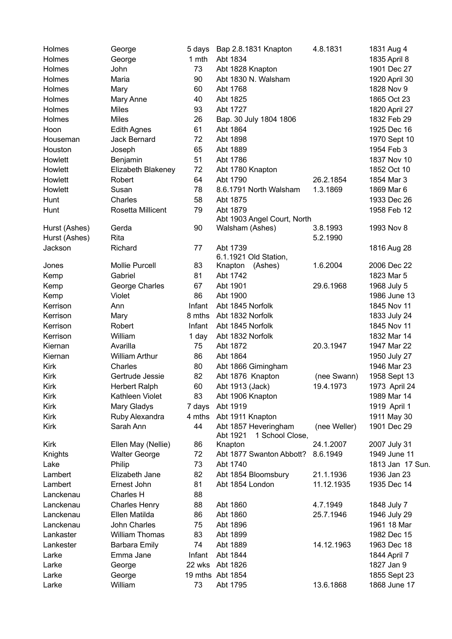| <b>Holmes</b> | George                | 5 days | Bap 2.8.1831 Knapton                                | 4.8.1831     | 1831 Aug 4       |
|---------------|-----------------------|--------|-----------------------------------------------------|--------------|------------------|
| Holmes        | George                | 1 mth  | Abt 1834                                            |              | 1835 April 8     |
| Holmes        | John                  | 73     | Abt 1828 Knapton                                    |              | 1901 Dec 27      |
| Holmes        | Maria                 | 90     | Abt 1830 N. Walsham                                 |              | 1920 April 30    |
| Holmes        | Mary                  | 60     | Abt 1768                                            |              | 1828 Nov 9       |
| Holmes        | Mary Anne             | 40     | Abt 1825                                            |              | 1865 Oct 23      |
| Holmes        | <b>Miles</b>          | 93     | Abt 1727                                            |              | 1820 April 27    |
| Holmes        | <b>Miles</b>          | 26     | Bap. 30 July 1804 1806                              |              | 1832 Feb 29      |
| Hoon          | <b>Edith Agnes</b>    | 61     | Abt 1864                                            |              | 1925 Dec 16      |
| Houseman      | Jack Bernard          | 72     | Abt 1898                                            |              | 1970 Sept 10     |
| Houston       | Joseph                | 65     | Abt 1889                                            |              | 1954 Feb 3       |
| Howlett       | Benjamin              | 51     | Abt 1786                                            |              | 1837 Nov 10      |
| Howlett       | Elizabeth Blakeney    | 72     | Abt 1780 Knapton                                    |              | 1852 Oct 10      |
| Howlett       | Robert                | 64     | Abt 1790                                            | 26.2.1854    | 1854 Mar 3       |
| Howlett       | Susan                 | 78     | 8.6.1791 North Walsham                              | 1.3.1869     | 1869 Mar 6       |
| Hunt          | Charles               | 58     | Abt 1875                                            |              | 1933 Dec 26      |
| Hunt          | Rosetta Millicent     | 79     | Abt 1879                                            |              | 1958 Feb 12      |
|               |                       |        | Abt 1903 Angel Court, North                         |              |                  |
| Hurst (Ashes) | Gerda                 | 90     | Walsham (Ashes)                                     | 3.8.1993     | 1993 Nov 8       |
| Hurst (Ashes) | Rita                  |        |                                                     | 5.2.1990     |                  |
| Jackson       | Richard               | 77     | Abt 1739                                            |              | 1816 Aug 28      |
|               |                       |        | 6.1.1921 Old Station,                               |              |                  |
| Jones         | <b>Mollie Purcell</b> | 83     | Knapton<br>(Ashes)                                  | 1.6.2004     | 2006 Dec 22      |
| Kemp          | Gabriel               | 81     | Abt 1742                                            |              | 1823 Mar 5       |
| Kemp          | George Charles        | 67     | Abt 1901                                            | 29.6.1968    | 1968 July 5      |
| Kemp          | Violet                | 86     | Abt 1900                                            |              | 1986 June 13     |
| Kerrison      | Ann                   | Infant | Abt 1845 Norfolk                                    |              | 1845 Nov 11      |
| Kerrison      | Mary                  | 8 mths | Abt 1832 Norfolk                                    |              | 1833 July 24     |
| Kerrison      | Robert                | Infant | Abt 1845 Norfolk                                    |              | 1845 Nov 11      |
| Kerrison      | William               | 1 day  | Abt 1832 Norfolk                                    |              | 1832 Mar 14      |
| Kiernan       | Avarilla              | 75     | Abt 1872                                            | 20.3.1947    | 1947 Mar 22      |
| Kiernan       | <b>William Arthur</b> | 86     | Abt 1864                                            |              | 1950 July 27     |
| Kirk          | Charles               | 80     | Abt 1866 Gimingham                                  |              | 1946 Mar 23      |
| Kirk          | Gertrude Jessie       | 82     | Abt 1876 Knapton                                    | (nee Swann)  | 1958 Sept 13     |
| <b>Kirk</b>   | <b>Herbert Ralph</b>  | 60     | Abt 1913 (Jack)                                     | 19.4.1973    | 1973 April 24    |
| <b>Kirk</b>   | Kathleen Violet       | 83     | Abt 1906 Knapton                                    |              | 1989 Mar 14      |
| Kirk          | Mary Gladys           | 7 days | Abt 1919                                            |              | 1919 April 1     |
| Kirk          | Ruby Alexandra        | 4 mths | Abt 1911 Knapton                                    |              | 1911 May 30      |
| <b>Kirk</b>   | Sarah Ann             | 44     | Abt 1857 Heveringham<br>Abt 1921<br>1 School Close, | (nee Weller) | 1901 Dec 29      |
| Kirk          | Ellen May (Nellie)    | 86     | Knapton                                             | 24.1.2007    | 2007 July 31     |
| Knights       | <b>Walter George</b>  | 72     | Abt 1877 Swanton Abbott?                            | 8.6.1949     | 1949 June 11     |
| Lake          | Philip                | 73     | Abt 1740                                            |              | 1813 Jan 17 Sun. |
| Lambert       | Elizabeth Jane        | 82     | Abt 1854 Bloomsbury                                 | 21.1.1936    | 1936 Jan 23      |
| Lambert       | Ernest John           | 81     | Abt 1854 London                                     | 11.12.1935   | 1935 Dec 14      |
| Lanckenau     | Charles H             | 88     |                                                     |              |                  |
| Lanckenau     | <b>Charles Henry</b>  | 88     | Abt 1860                                            | 4.7.1949     | 1848 July 7      |
| Lanckenau     | Ellen Matilda         | 86     | Abt 1860                                            | 25.7.1946    | 1946 July 29     |
| Lanckenau     | John Charles          | 75     | Abt 1896                                            |              | 1961 18 Mar      |
| Lankaster     | <b>William Thomas</b> | 83     | Abt 1899                                            |              | 1982 Dec 15      |
| Lankester     | <b>Barbara Emily</b>  | 74     | Abt 1889                                            | 14.12.1963   | 1963 Dec 18      |
| Larke         | Emma Jane             | Infant | Abt 1844                                            |              | 1844 April 7     |
| Larke         | George                | 22 wks | Abt 1826                                            |              | 1827 Jan 9       |
| Larke         | George                |        | 19 mths Abt 1854                                    |              | 1855 Sept 23     |
| Larke         | William               | 73     | Abt 1795                                            | 13.6.1868    | 1868 June 17     |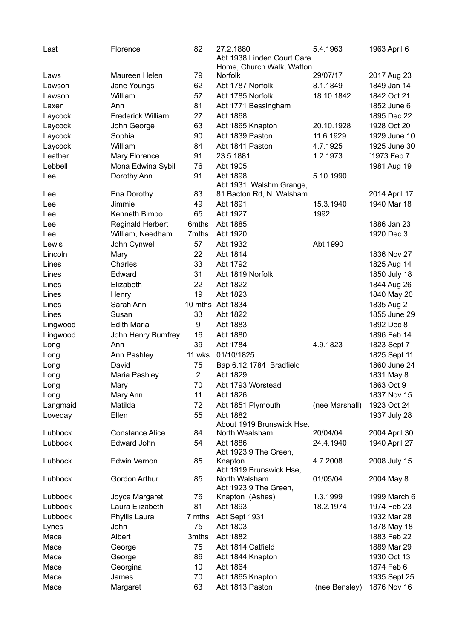| Last               | Florence                          | 82             | 27.2.1880<br>Abt 1938 Linden Court Care | 5.4.1963       | 1963 April 6                |
|--------------------|-----------------------------------|----------------|-----------------------------------------|----------------|-----------------------------|
|                    |                                   |                | Home, Church Walk, Watton               |                |                             |
| Laws               | Maureen Helen                     | 79             | <b>Norfolk</b>                          | 29/07/17       | 2017 Aug 23<br>1849 Jan 14  |
| Lawson             | Jane Youngs                       | 62             | Abt 1787 Norfolk<br>Abt 1785 Norfolk    | 8.1.1849       |                             |
| Lawson             | William                           | 57             |                                         | 18.10.1842     | 1842 Oct 21                 |
| Laxen              | Ann                               | 81             | Abt 1771 Bessingham                     |                | 1852 June 6                 |
| Laycock            | <b>Frederick William</b>          | 27             | Abt 1868                                |                | 1895 Dec 22                 |
| Laycock            | John George                       | 63             | Abt 1865 Knapton                        | 20.10.1928     | 1928 Oct 20                 |
| Laycock            | Sophia                            | 90             | Abt 1839 Paston                         | 11.6.1929      | 1929 June 10                |
| Laycock            | William                           | 84             | Abt 1841 Paston                         | 4.7.1925       | 1925 June 30                |
| Leather            | Mary Florence                     | 91             | 23.5.1881                               | 1.2.1973       | `1973 Feb 7                 |
| Lebbell            | Mona Edwina Sybil                 | 76             | Abt 1905                                |                | 1981 Aug 19                 |
| Lee                | Dorothy Ann                       | 91             | Abt 1898<br>Abt 1931 Walshm Grange,     | 5.10.1990      |                             |
| Lee                | Ena Dorothy                       | 83             | 81 Bacton Rd, N. Walsham                |                | 2014 April 17               |
| Lee                | Jimmie                            | 49             | Abt 1891                                | 15.3.1940      | 1940 Mar 18                 |
| Lee                | Kenneth Bimbo                     | 65             | Abt 1927                                | 1992           |                             |
| Lee                | <b>Reginald Herbert</b>           | 6mths          | Abt 1885                                |                | 1886 Jan 23                 |
| Lee                | William, Needham                  | 7mths          | Abt 1920                                |                | 1920 Dec 3                  |
| Lewis              | John Cynwel                       | 57             | Abt 1932                                | Abt 1990       |                             |
| Lincoln            | Mary                              | 22             | Abt 1814                                |                | 1836 Nov 27                 |
| Lines              | Charles                           | 33             | Abt 1792                                |                | 1825 Aug 14                 |
| Lines              | Edward                            | 31             | Abt 1819 Norfolk                        |                | 1850 July 18                |
| Lines              | Elizabeth                         | 22             | Abt 1822                                |                | 1844 Aug 26                 |
| Lines              | Henry                             | 19             | Abt 1823                                |                | 1840 May 20                 |
| Lines              | Sarah Ann                         |                | 10 mths Abt 1834                        |                | 1835 Aug 2                  |
| Lines              | Susan                             | 33             | Abt 1822                                |                | 1855 June 29                |
| Lingwood           | <b>Edith Maria</b>                | 9              | Abt 1883                                |                | 1892 Dec 8                  |
| Lingwood           | John Henry Bumfrey                | 16             | Abt 1880                                |                | 1896 Feb 14                 |
| Long               | Ann                               | 39             | Abt 1784                                | 4.9.1823       | 1823 Sept 7                 |
| Long               | Ann Pashley                       | 11 wks         | 01/10/1825                              |                | 1825 Sept 11                |
| Long               | David                             | 75             | Bap 6.12.1784 Bradfield                 |                | 1860 June 24                |
| Long               | Maria Pashley                     | $\overline{2}$ | Abt 1829                                |                | 1831 May 8                  |
| Long               | Mary                              | 70             | Abt 1793 Worstead                       |                | 1863 Oct 9                  |
| Long               | Mary Ann                          | 11             | Abt 1826                                |                | 1837 Nov 15                 |
| Langmaid           | Matilda                           | 72             | Abt 1851 Plymouth                       | (nee Marshall) | 1923 Oct 24                 |
| Loveday            | Ellen                             | 55             | Abt 1882                                |                | 1937 July 28                |
|                    |                                   |                | About 1919 Brunswick Hse.               |                |                             |
| Lubbock            | <b>Constance Alice</b>            | 84             | North Wealsham                          | 20/04/04       | 2004 April 30               |
| Lubbock            | <b>Edward John</b>                | 54             | Abt 1886                                | 24.4.1940      | 1940 April 27               |
|                    |                                   |                | Abt 1923 9 The Green,                   |                |                             |
| Lubbock            | Edwin Vernon                      | 85             | Knapton                                 | 4.7.2008       | 2008 July 15                |
|                    |                                   |                | Abt 1919 Brunswick Hse,                 |                |                             |
| Lubbock            | Gordon Arthur                     | 85             | North Walsham                           | 01/05/04       | 2004 May 8                  |
|                    |                                   | 76             | Abt 1923 9 The Green,                   | 1.3.1999       | 1999 March 6                |
| Lubbock<br>Lubbock | Joyce Margaret<br>Laura Elizabeth | 81             | Knapton (Ashes)<br>Abt 1893             | 18.2.1974      | 1974 Feb 23                 |
| Lubbock            |                                   | 7 mths         |                                         |                | 1932 Mar 28                 |
|                    | Phyllis Laura                     | 75             | Abt Sept 1931<br>Abt 1803               |                |                             |
| Lynes              | John<br>Albert                    | 3mths          | Abt 1882                                |                | 1878 May 18<br>1883 Feb 22  |
| Mace               |                                   |                |                                         |                |                             |
| Mace<br>Mace       | George                            | 75<br>86       | Abt 1814 Catfield<br>Abt 1844 Knapton   |                | 1889 Mar 29<br>1930 Oct 13  |
| Mace               | George<br>Georgina                | 10             | Abt 1864                                |                | 1874 Feb 6                  |
| Mace               | James                             | 70             |                                         |                |                             |
| Mace               |                                   | 63             | Abt 1865 Knapton<br>Abt 1813 Paston     | (nee Bensley)  | 1935 Sept 25<br>1876 Nov 16 |
|                    | Margaret                          |                |                                         |                |                             |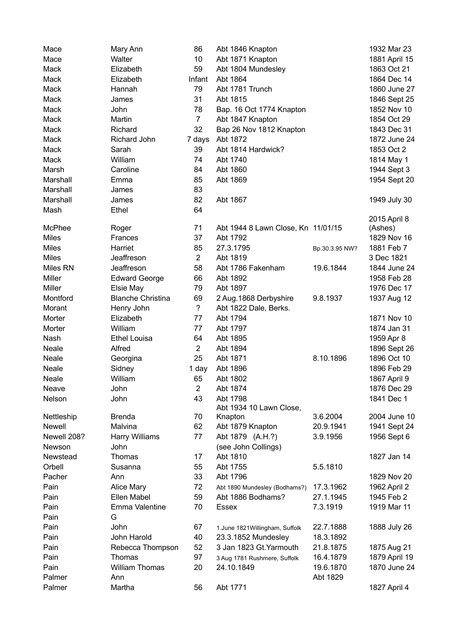| Mace         | Mary Ann                 | 86             | Abt 1846 Knapton                   |                | 1932 Mar 23   |
|--------------|--------------------------|----------------|------------------------------------|----------------|---------------|
| Mace         | Walter                   | 10             | Abt 1871 Knapton                   |                | 1881 April 15 |
| Mack         | Elizabeth                | 59             | Abt 1804 Mundesley                 |                | 1863 Oct 21   |
| Mack         | Elizabeth                | Infant         | Abt 1864                           |                | 1864 Dec 14   |
| Mack         | Hannah                   | 79             | Abt 1781 Trunch                    |                | 1860 June 27  |
| Mack         | James                    | 31             | Abt 1815                           |                | 1846 Sept 25  |
| Mack         | John                     | 78             | Bap. 16 Oct 1774 Knapton           |                | 1852 Nov 10   |
| Mack         | Martin                   | $\overline{7}$ | Abt 1847 Knapton                   |                | 1854 Oct 29   |
| Mack         | Richard                  | 32             | Bap 26 Nov 1812 Knapton            |                | 1843 Dec 31   |
| Mack         | Richard John             | 7 days         | Abt 1872                           |                | 1872 June 24  |
| Mack         | Sarah                    | 39             | Abt 1814 Hardwick?                 |                | 1853 Oct 2    |
| Mack         | William                  | 74             | Abt 1740                           |                | 1814 May 1    |
| Marsh        | Caroline                 | 84             | Abt 1860                           |                | 1944 Sept 3   |
| Marshall     | Emma                     | 85             | Abt 1869                           |                | 1954 Sept 20  |
| Marshall     | James                    | 83             |                                    |                |               |
| Marshall     | James                    | 82             | Abt 1867                           |                | 1949 July 30  |
| Mash         | Ethel                    | 64             |                                    |                |               |
|              |                          |                |                                    |                | 2015 April 8  |
| McPhee       | Roger                    | 71             | Abt 1944 8 Lawn Close, Kn 11/01/15 |                | (Ashes)       |
| <b>Miles</b> | Frances                  | 37             | Abt 1792                           |                | 1829 Nov 16   |
| <b>Miles</b> | Harriet                  | 85             | 27.3.1795                          | Bp.30.3.95 NW? | 1881 Feb 7    |
| <b>Miles</b> | Jeaffreson               | $\overline{2}$ | Abt 1819                           |                | 3 Dec 1821    |
| Miles RN     | Jeaffreson               | 58             | Abt 1786 Fakenham                  | 19.6.1844      | 1844 June 24  |
| Miller       | <b>Edward George</b>     | 66             | Abt 1892                           |                | 1958 Feb 28   |
| Miller       | Elsie May                | 79             | Abt 1897                           |                | 1976 Dec 17   |
| Montford     | <b>Blanche Christina</b> | 69             | 2 Aug. 1868 Derbyshire             | 9.8.1937       | 1937 Aug 12   |
| Morant       |                          | $\tilde{?}$    |                                    |                |               |
| Morter       | Henry John<br>Elizabeth  | 77             | Abt 1822 Dale, Berks.              |                | 1871 Nov 10   |
|              |                          |                | Abt 1794                           |                |               |
| Morter       | William                  | 77             | Abt 1797                           |                | 1874 Jan 31   |
| Nash         | <b>Ethel Louisa</b>      | 64             | Abt 1895                           |                | 1959 Apr 8    |
| Neale        | Alfred                   | $\overline{2}$ | Abt 1894                           |                | 1896 Sept 26  |
| Neale        | Georgina                 | 25             | Abt 1871                           | 8.10.1896      | 1896 Oct 10   |
| Neale        | Sidney                   | 1 day          | Abt 1896                           |                | 1896 Feb 29   |
| Neale        | William                  | 65             | Abt 1802                           |                | 1867 April 9  |
| Neave        | John                     | $\overline{c}$ | Abt 1874                           |                | 1876 Dec 29   |
| Nelson       | John                     | 43             | Abt 1798                           |                | 1841 Dec 1    |
| Nettleship   | <b>Brenda</b>            | 70             | Abt 1934 10 Lawn Close,            | 3.6.2004       | 2004 June 10  |
| Newell       | Malvina                  |                | Knapton                            |                |               |
| Newell 208?  |                          | 62<br>77       | Abt 1879 Knapton                   | 20.9.1941      | 1941 Sept 24  |
|              | Harry Williams           |                | Abt 1879 (A.H.?)                   | 3.9.1956       | 1956 Sept 6   |
| Newson       | John                     |                | (see John Collings)                |                |               |
| Newstead     | Thomas                   | 17             | Abt 1810                           |                | 1827 Jan 14   |
| Orbell       | Susanna                  | 55             | Abt 1755                           | 5.5.1810       |               |
| Pacher       | Ann                      | 33             | Abt 1796                           |                | 1829 Nov 20   |
| Pain         | Alice Mary               | 72             | Abt 1890 Mundesley (Bodhams?)      | 17.3.1962      | 1962 April 2  |
| Pain         | Ellen Mabel              | 59             | Abt 1886 Bodhams?                  | 27.1.1945      | 1945 Feb 2    |
| Pain         | Emma Valentine           | 70             | <b>Essex</b>                       | 7.3.1919       | 1919 Mar 11   |
| Pain         | G                        |                |                                    |                |               |
| Pain         | John                     | 67             | 1.June 1821 Willingham, Suffolk    | 22.7.1888      | 1888 July 26  |
| Pain         | John Harold              | 40             | 23.3.1852 Mundesley                | 18.3.1892      |               |
| Pain         | Rebecca Thompson         | 52             | 3 Jan 1823 Gt. Yarmouth            | 21.8.1875      | 1875 Aug 21   |
| Pain         | Thomas                   | 97             | 3 Aug 1781 Rushmere, Suffolk       | 16.4.1879      | 1879 April 19 |
| Pain         | <b>William Thomas</b>    | 20             | 24.10.1849                         | 19.6.1870      | 1870 June 24  |
| Palmer       | Ann                      |                |                                    | Abt 1829       |               |
| Palmer       | Martha                   | 56             | Abt 1771                           |                | 1827 April 4  |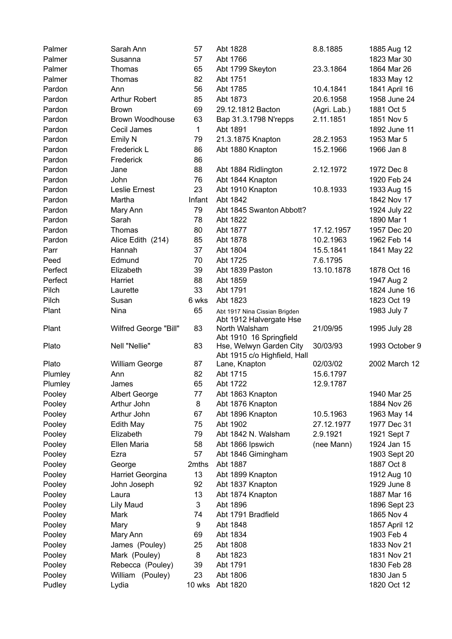| Palmer  | Sarah Ann              | 57           | Abt 1828                                 | 8.8.1885     | 1885 Aug 12                |
|---------|------------------------|--------------|------------------------------------------|--------------|----------------------------|
| Palmer  | Susanna                | 57           | Abt 1766                                 |              | 1823 Mar 30                |
| Palmer  | Thomas                 | 65           | Abt 1799 Skeyton                         | 23.3.1864    | 1864 Mar 26                |
| Palmer  | Thomas                 | 82           | Abt 1751                                 |              | 1833 May 12                |
| Pardon  | Ann                    | 56           | Abt 1785                                 | 10.4.1841    | 1841 April 16              |
| Pardon  | Arthur Robert          | 85           | Abt 1873                                 | 20.6.1958    | 1958 June 24               |
| Pardon  | <b>Brown</b>           | 69           | 29.12.1812 Bacton                        | (Agri. Lab.) | 1881 Oct 5                 |
| Pardon  | <b>Brown Woodhouse</b> | 63           | Bap 31.3.1798 N'repps                    | 2.11.1851    | 1851 Nov 5                 |
| Pardon  | Cecil James            | $\mathbf{1}$ | Abt 1891                                 |              | 1892 June 11               |
| Pardon  | Emily N                | 79           | 21.3.1875 Knapton                        | 28.2.1953    | 1953 Mar 5                 |
| Pardon  | Frederick L            | 86           | Abt 1880 Knapton                         | 15.2.1966    | 1966 Jan 8                 |
| Pardon  | Frederick              | 86           |                                          |              |                            |
| Pardon  | Jane                   | 88           | Abt 1884 Ridlington                      | 2.12.1972    | 1972 Dec 8                 |
| Pardon  | John                   | 76           | Abt 1844 Knapton                         |              | 1920 Feb 24                |
| Pardon  | Leslie Ernest          | 23           | Abt 1910 Knapton                         | 10.8.1933    | 1933 Aug 15                |
| Pardon  | Martha                 | Infant       | Abt 1842                                 |              | 1842 Nov 17                |
| Pardon  | Mary Ann               | 79           | Abt 1845 Swanton Abbott?                 |              | 1924 July 22               |
| Pardon  | Sarah                  | 78           | Abt 1822                                 |              | 1890 Mar 1                 |
| Pardon  | Thomas                 | 80           | Abt 1877                                 | 17.12.1957   | 1957 Dec 20                |
| Pardon  | Alice Edith (214)      | 85           | Abt 1878                                 | 10.2.1963    | 1962 Feb 14                |
| Parr    | Hannah                 | 37           | Abt 1804                                 | 15.5.1841    | 1841 May 22                |
| Peed    | Edmund                 | 70           | Abt 1725                                 | 7.6.1795     |                            |
| Perfect | Elizabeth              | 39           | Abt 1839 Paston                          | 13.10.1878   | 1878 Oct 16                |
|         |                        |              |                                          |              |                            |
| Perfect | Harriet                | 88           | Abt 1859                                 |              | 1947 Aug 2<br>1824 June 16 |
| Pilch   | Laurette               | 33           | Abt 1791                                 |              |                            |
| Pilch   | Susan                  | 6 wks        | Abt 1823                                 |              | 1823 Oct 19                |
| Plant   | Nina                   | 65           | Abt 1917 Nina Cissian Brigden            |              | 1983 July 7                |
| Plant   | Wilfred George "Bill"  | 83           | Abt 1912 Halvergate Hse<br>North Walsham | 21/09/95     | 1995 July 28               |
|         |                        |              | Abt 1910 16 Springfield                  |              |                            |
| Plato   | Nell "Nellie"          | 83           | Hse, Welwyn Garden City                  | 30/03/93     | 1993 October 9             |
|         |                        |              | Abt 1915 c/o Highfield, Hall             |              |                            |
| Plato   | William George         | 87           | Lane, Knapton                            | 02/03/02     | 2002 March 12              |
| Plumley | Ann                    | 82           | Abt 1715                                 | 15.6.1797    |                            |
| Plumley | James                  | 65           | Abt 1722                                 | 12.9.1787    |                            |
| Pooley  | <b>Albert George</b>   | 77           | Abt 1863 Knapton                         |              | 1940 Mar 25                |
| Pooley  | Arthur John            | 8            | Abt 1876 Knapton                         |              | 1884 Nov 26                |
| Pooley  | Arthur John            | 67           | Abt 1896 Knapton                         | 10.5.1963    | 1963 May 14                |
| Pooley  | Edith May              | 75           | Abt 1902                                 | 27.12.1977   | 1977 Dec 31                |
| Pooley  | Elizabeth              | 79           | Abt 1842 N. Walsham                      | 2.9.1921     | 1921 Sept 7                |
| Pooley  | Ellen Maria            | 58           | Abt 1866 Ipswich                         | (nee Mann)   | 1924 Jan 15                |
| Pooley  | Ezra                   | 57           | Abt 1846 Gimingham                       |              | 1903 Sept 20               |
| Pooley  | George                 | 2mths        | Abt 1887                                 |              | 1887 Oct 8                 |
| Pooley  | Harriet Georgina       | 13           | Abt 1899 Knapton                         |              | 1912 Aug 10                |
| Pooley  | John Joseph            | 92           | Abt 1837 Knapton                         |              | 1929 June 8                |
| Pooley  | Laura                  | 13           | Abt 1874 Knapton                         |              | 1887 Mar 16                |
| Pooley  | <b>Lily Maud</b>       | 3            | Abt 1896                                 |              | 1896 Sept 23               |
| Pooley  | Mark                   | 74           | Abt 1791 Bradfield                       |              | 1865 Nov 4                 |
| Pooley  | Mary                   | 9            | Abt 1848                                 |              | 1857 April 12              |
| Pooley  | Mary Ann               | 69           | Abt 1834                                 |              | 1903 Feb 4                 |
| Pooley  | James (Pouley)         | 25           | Abt 1808                                 |              | 1833 Nov 21                |
| Pooley  | Mark (Pouley)          | 8            | Abt 1823                                 |              | 1831 Nov 21                |
| Pooley  | Rebecca (Pouley)       | 39           | Abt 1791                                 |              | 1830 Feb 28                |
| Pooley  | William (Pouley)       | 23           | Abt 1806                                 |              | 1830 Jan 5                 |
| Pudley  | Lydia                  | 10 wks       | Abt 1820                                 |              | 1820 Oct 12                |
|         |                        |              |                                          |              |                            |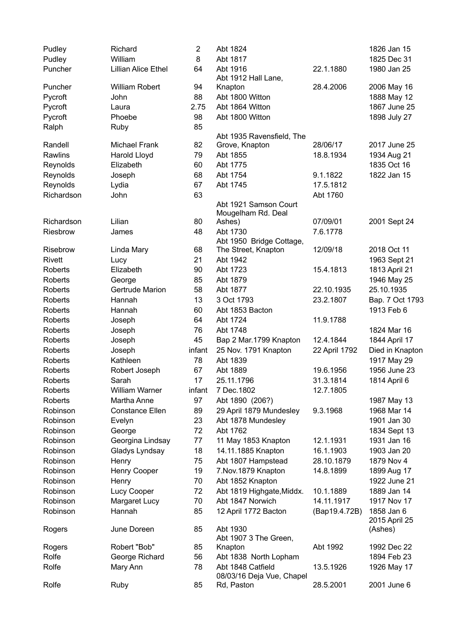| Pudley         | Richard                    | $\overline{2}$ | Abt 1824                     |               | 1826 Jan 15     |
|----------------|----------------------------|----------------|------------------------------|---------------|-----------------|
| Pudley         | William                    | 8              | Abt 1817                     |               | 1825 Dec 31     |
| Puncher        | <b>Lillian Alice Ethel</b> | 64             | Abt 1916                     | 22.1.1880     | 1980 Jan 25     |
|                |                            |                | Abt 1912 Hall Lane,          |               |                 |
| Puncher        | <b>William Robert</b>      | 94             | Knapton                      | 28.4.2006     | 2006 May 16     |
| Pycroft        | John                       | 88             | Abt 1800 Witton              |               | 1888 May 12     |
| Pycroft        | Laura                      | 2.75           | Abt 1864 Witton              |               | 1867 June 25    |
| Pycroft        | Phoebe                     | 98             | Abt 1800 Witton              |               | 1898 July 27    |
| Ralph          | Ruby                       | 85             |                              |               |                 |
|                |                            |                | Abt 1935 Ravensfield, The    |               |                 |
| Randell        | Michael Frank              | 82             | Grove, Knapton               | 28/06/17      | 2017 June 25    |
| Rawlins        | Harold Lloyd               | 79             | Abt 1855                     | 18.8.1934     | 1934 Aug 21     |
| Reynolds       | Elizabeth                  | 60             | Abt 1775                     |               | 1835 Oct 16     |
| Reynolds       | Joseph                     | 68             | Abt 1754                     | 9.1.1822      | 1822 Jan 15     |
| Reynolds       | Lydia                      | 67             | Abt 1745                     | 17.5.1812     |                 |
| Richardson     | John                       | 63             |                              | Abt 1760      |                 |
|                |                            |                | Abt 1921 Samson Court        |               |                 |
| Richardson     | Lilian                     | 80             | Mougelham Rd. Deal<br>Ashes) | 07/09/01      | 2001 Sept 24    |
| Riesbrow       | James                      | 48             | Abt 1730                     | 7.6.1778      |                 |
|                |                            |                | Abt 1950 Bridge Cottage,     |               |                 |
| Risebrow       | Linda Mary                 | 68             | The Street, Knapton          | 12/09/18      | 2018 Oct 11     |
| Rivett         | Lucy                       | 21             | Abt 1942                     |               | 1963 Sept 21    |
| <b>Roberts</b> | Elizabeth                  | 90             | Abt 1723                     | 15.4.1813     | 1813 April 21   |
| <b>Roberts</b> | George                     | 85             | Abt 1879                     |               | 1946 May 25     |
| <b>Roberts</b> | Gertrude Marion            | 58             | Abt 1877                     | 22.10.1935    | 25.10.1935      |
| <b>Roberts</b> | Hannah                     | 13             | 3 Oct 1793                   | 23.2.1807     | Bap. 7 Oct 1793 |
| <b>Roberts</b> | Hannah                     | 60             | Abt 1853 Bacton              |               | 1913 Feb 6      |
| Roberts        | Joseph                     | 64             | Abt 1724                     | 11.9.1788     |                 |
| <b>Roberts</b> | Joseph                     | 76             | Abt 1748                     |               | 1824 Mar 16     |
| <b>Roberts</b> | Joseph                     | 45             | Bap 2 Mar.1799 Knapton       | 12.4.1844     | 1844 April 17   |
| Roberts        | Joseph                     | infant         | 25 Nov. 1791 Knapton         | 22 April 1792 | Died in Knapton |
| <b>Roberts</b> | Kathleen                   | 78             | Abt 1839                     |               | 1917 May 29     |
| <b>Roberts</b> | Robert Joseph              | 67             | Abt 1889                     | 19.6.1956     | 1956 June 23    |
| <b>Roberts</b> | Sarah                      | 17             | 25.11.1796                   | 31.3.1814     | 1814 April 6    |
| Roberts        | <b>William Warner</b>      | infant         | 7 Dec. 1802                  | 12.7.1805     |                 |
| <b>Roberts</b> | Martha Anne                | 97             | Abt 1890 (206?)              |               | 1987 May 13     |
| Robinson       | <b>Constance Ellen</b>     | 89             | 29 April 1879 Mundesley      | 9.3.1968      | 1968 Mar 14     |
| Robinson       | Evelyn                     | 23             | Abt 1878 Mundesley           |               | 1901 Jan 30     |
| Robinson       | George                     | 72             | Abt 1762                     |               | 1834 Sept 13    |
| Robinson       | Georgina Lindsay           | 77             | 11 May 1853 Knapton          | 12.1.1931     | 1931 Jan 16     |
| Robinson       | Gladys Lyndsay             | 18             | 14.11.1885 Knapton           | 16.1.1903     | 1903 Jan 20     |
| Robinson       | Henry                      | 75             | Abt 1807 Hampstead           | 28.10.1879    | 1879 Nov 4      |
| Robinson       | Henry Cooper               | 19             | 7. Nov. 1879 Knapton         | 14.8.1899     | 1899 Aug 17     |
| Robinson       | Henry                      | 70             | Abt 1852 Knapton             |               | 1922 June 21    |
| Robinson       | Lucy Cooper                | 72             | Abt 1819 Highgate, Middx.    | 10.1.1889     | 1889 Jan 14     |
| Robinson       | Margaret Lucy              | 70             | Abt 1847 Norwich             | 14.11.1917    | 1917 Nov 17     |
| Robinson       | Hannah                     | 85             | 12 April 1772 Bacton         | (Bap19.4.72B) | 1858 Jan 6      |
|                |                            |                |                              |               | 2015 April 25   |
| Rogers         | June Doreen                | 85             | Abt 1930                     |               | (Ashes)         |
|                |                            |                | Abt 1907 3 The Green,        |               |                 |
| Rogers         | Robert "Bob"               | 85             | Knapton                      | Abt 1992      | 1992 Dec 22     |
| Rolfe          | George Richard             | 56             | Abt 1838 North Lopham        |               | 1894 Feb 23     |
| Rolfe          | Mary Ann                   | 78             | Abt 1848 Catfield            | 13.5.1926     | 1926 May 17     |
|                |                            |                | 08/03/16 Deja Vue, Chapel    |               |                 |
| Rolfe          | Ruby                       | 85             | Rd, Paston                   | 28.5.2001     | 2001 June 6     |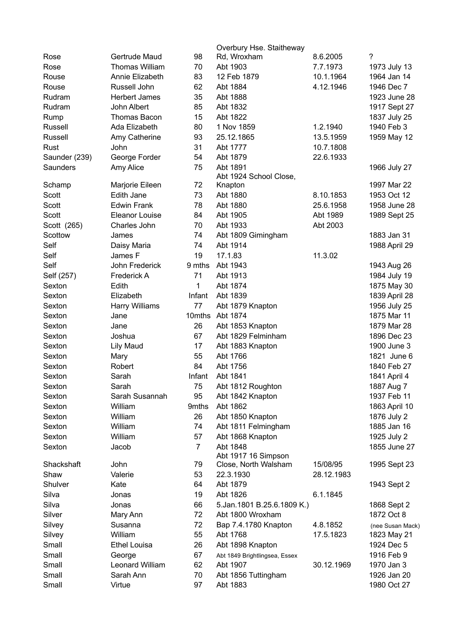|               |                       |                | Overbury Hse. Staitheway      |            |                  |
|---------------|-----------------------|----------------|-------------------------------|------------|------------------|
| Rose          | Gertrude Maud         | 98             | Rd, Wroxham                   | 8.6.2005   | $\tilde{?}$      |
| Rose          | <b>Thomas William</b> | 70             | Abt 1903                      | 7.7.1973   | 1973 July 13     |
| Rouse         | Annie Elizabeth       | 83             | 12 Feb 1879                   | 10.1.1964  | 1964 Jan 14      |
| Rouse         | Russell John          | 62             | Abt 1884                      | 4.12.1946  | 1946 Dec 7       |
| Rudram        | <b>Herbert James</b>  | 35             | Abt 1888                      |            | 1923 June 28     |
| Rudram        | John Albert           | 85             | Abt 1832                      |            | 1917 Sept 27     |
| Rump          | <b>Thomas Bacon</b>   | 15             | Abt 1822                      |            | 1837 July 25     |
| Russell       | Ada Elizabeth         | 80             | 1 Nov 1859                    | 1.2.1940   | 1940 Feb 3       |
| Russell       | Amy Catherine         | 93             | 25.12.1865                    | 13.5.1959  | 1959 May 12      |
| Rust          | John                  | 31             | Abt 1777                      | 10.7.1808  |                  |
| Saunder (239) | George Forder         | 54             | Abt 1879                      | 22.6.1933  |                  |
| Saunders      | Amy Alice             | 75             | Abt 1891                      |            | 1966 July 27     |
|               |                       |                | Abt 1924 School Close,        |            |                  |
| Schamp        | Marjorie Eileen       | 72             | Knapton                       |            | 1997 Mar 22      |
| Scott         | Edith Jane            | 73             | Abt 1880                      | 8.10.1853  | 1953 Oct 12      |
| Scott         | <b>Edwin Frank</b>    | 78             | Abt 1880                      | 25.6.1958  | 1958 June 28     |
| Scott         | <b>Eleanor Louise</b> | 84             | Abt 1905                      | Abt 1989   | 1989 Sept 25     |
| Scott (265)   | Charles John          | 70             | Abt 1933                      | Abt 2003   |                  |
| Scottow       | James                 | 74             | Abt 1809 Gimingham            |            | 1883 Jan 31      |
| Self          | Daisy Maria           | 74             | Abt 1914                      |            | 1988 April 29    |
| Self          | James F               | 19             | 17.1.83                       | 11.3.02    |                  |
| Self          | John Frederick        | 9 mths         | Abt 1943                      |            | 1943 Aug 26      |
| Self (257)    | Frederick A           | 71             | Abt 1913                      |            | 1984 July 19     |
| Sexton        | Edith                 | 1              | Abt 1874                      |            | 1875 May 30      |
| Sexton        | Elizabeth             | Infant         | Abt 1839                      |            | 1839 April 28    |
| Sexton        | Harry Williams        | 77             | Abt 1879 Knapton              |            | 1956 July 25     |
| Sexton        | Jane                  | 10mths         | Abt 1874                      |            | 1875 Mar 11      |
| Sexton        | Jane                  | 26             | Abt 1853 Knapton              |            | 1879 Mar 28      |
| Sexton        | Joshua                | 67             | Abt 1829 Felminham            |            | 1896 Dec 23      |
| Sexton        | <b>Lily Maud</b>      | 17             | Abt 1883 Knapton              |            | 1900 June 3      |
| Sexton        | Mary                  | 55             | Abt 1766                      |            | 1821 June 6      |
| Sexton        | Robert                | 84             | Abt 1756                      |            | 1840 Feb 27      |
| Sexton        | Sarah                 | Infant         | Abt 1841                      |            | 1841 April 4     |
| Sexton        | Sarah                 | 75             | Abt 1812 Roughton             |            | 1887 Aug 7       |
| Sexton        | Sarah Susannah        | 95             | Abt 1842 Knapton              |            | 1937 Feb 11      |
| Sexton        | William               | 9mths          | Abt 1862                      |            | 1863 April 10    |
| Sexton        | William               | 26             | Abt 1850 Knapton              |            | 1876 July 2      |
| Sexton        | William               | 74             | Abt 1811 Felmingham           |            | 1885 Jan 16      |
| Sexton        | William               | 57             | Abt 1868 Knapton              |            | 1925 July 2      |
| Sexton        | Jacob                 | $\overline{7}$ | Abt 1848                      |            | 1855 June 27     |
|               |                       |                | Abt 1917 16 Simpson           |            |                  |
| Shackshaft    | John                  | 79             | Close, North Walsham          | 15/08/95   | 1995 Sept 23     |
| Shaw          | Valerie               | 53             | 22.3.1930                     | 28.12.1983 |                  |
| Shulver       | Kate                  | 64             | Abt 1879                      |            | 1943 Sept 2      |
| Silva         | Jonas                 | 19             | Abt 1826                      | 6.1.1845   |                  |
| Silva         | Jonas                 | 66             | 5.Jan.1801 B.25.6.1809 K.)    |            | 1868 Sept 2      |
| Silver        | Mary Ann              | 72             | Abt 1800 Wroxham              |            | 1872 Oct 8       |
| Silvey        | Susanna               | 72             | Bap 7.4.1780 Knapton          | 4.8.1852   | (nee Susan Mack) |
| Silvey        | William               | 55             | Abt 1768                      | 17.5.1823  | 1823 May 21      |
| Small         | <b>Ethel Louisa</b>   | 26             | Abt 1898 Knapton              |            | 1924 Dec 5       |
| Small         | George                | 67             | Abt 1849 Brightlingsea, Essex |            | 1916 Feb 9       |
| Small         | Leonard William       | 62             | Abt 1907                      | 30.12.1969 | 1970 Jan 3       |
| Small         | Sarah Ann             | 70             | Abt 1856 Tuttingham           |            | 1926 Jan 20      |
| Small         | Virtue                | 97             | Abt 1883                      |            | 1980 Oct 27      |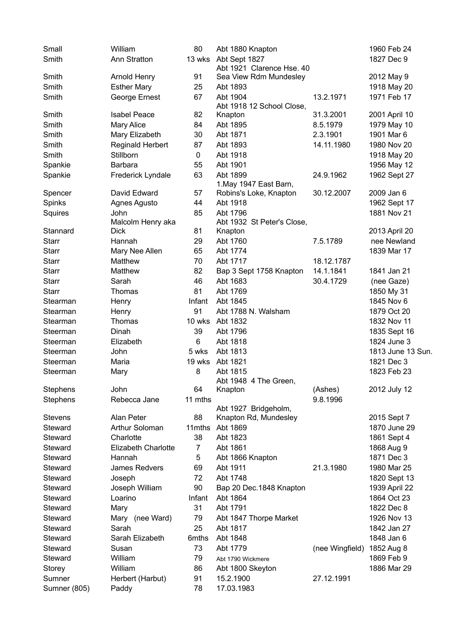| Small           | William                    | 80      | Abt 1880 Knapton                      |                 | 1960 Feb 24       |
|-----------------|----------------------------|---------|---------------------------------------|-----------------|-------------------|
| Smith           | Ann Stratton               |         | 13 wks Abt Sept 1827                  |                 | 1827 Dec 9        |
|                 |                            |         | Abt 1921 Clarence Hse. 40             |                 |                   |
| Smith           | Arnold Henry               | 91      | Sea View Rdm Mundesley                |                 | 2012 May 9        |
| Smith           | <b>Esther Mary</b>         | 25      | Abt 1893                              |                 | 1918 May 20       |
| Smith           | George Ernest              | 67      | Abt 1904<br>Abt 1918 12 School Close, | 13.2.1971       | 1971 Feb 17       |
| Smith           | <b>Isabel Peace</b>        | 82      | Knapton                               | 31.3.2001       | 2001 April 10     |
| Smith           | <b>Mary Alice</b>          | 84      | Abt 1895                              | 8.5.1979        | 1979 May 10       |
| Smith           | Mary Elizabeth             | 30      | Abt 1871                              | 2.3.1901        | 1901 Mar 6        |
| Smith           | <b>Reginald Herbert</b>    | 87      | Abt 1893                              | 14.11.1980      | 1980 Nov 20       |
| Smith           | Stillborn                  | 0       | Abt 1918                              |                 | 1918 May 20       |
| Spankie         | Barbara                    | 55      | Abt 1901                              |                 | 1956 May 12       |
| Spankie         | Frederick Lyndale          | 63      | Abt 1899<br>1. May 1947 East Barn,    | 24.9.1962       | 1962 Sept 27      |
| Spencer         | David Edward               | 57      | Robins's Loke, Knapton                | 30.12.2007      | 2009 Jan 6        |
| Spinks          | Agnes Agusto               | 44      | Abt 1918                              |                 | 1962 Sept 17      |
| Squires         | John                       | 85      | Abt 1796                              |                 | 1881 Nov 21       |
|                 | Malcolm Henry aka          |         | Abt 1932 St Peter's Close,            |                 |                   |
| Stannard        | <b>Dick</b>                | 81      | Knapton                               |                 | 2013 April 20     |
| <b>Starr</b>    | Hannah                     | 29      | Abt 1760                              | 7.5.1789        | nee Newland       |
| <b>Starr</b>    | Mary Nee Allen             | 65      | Abt 1774                              |                 | 1839 Mar 17       |
| <b>Starr</b>    | Matthew                    | 70      | Abt 1717                              | 18.12.1787      |                   |
| <b>Starr</b>    | Matthew                    | 82      | Bap 3 Sept 1758 Knapton               | 14.1.1841       | 1841 Jan 21       |
| <b>Starr</b>    | Sarah                      | 46      | Abt 1683                              | 30.4.1729       | (nee Gaze)        |
| <b>Starr</b>    | Thomas                     | 81      | Abt 1769                              |                 | 1850 My 31        |
| Stearman        | Henry                      | Infant  | Abt 1845                              |                 | 1845 Nov 6        |
| Stearman        | Henry                      | 91      | Abt 1788 N. Walsham                   |                 | 1879 Oct 20       |
| Stearman        | Thomas                     | 10 wks  | Abt 1832                              |                 | 1832 Nov 11       |
| Steerman        | Dinah                      | 39      | Abt 1796                              |                 | 1835 Sept 16      |
| Steerman        | Elizabeth                  | 6       | Abt 1818                              |                 | 1824 June 3       |
| Steerman        | John                       | 5 wks   | Abt 1813                              |                 | 1813 June 13 Sun. |
| Steerman        | Maria                      | 19 wks  | Abt 1821                              |                 | 1821 Dec 3        |
| Steerman        | Mary                       | 8       | Abt 1815                              |                 | 1823 Feb 23       |
|                 |                            |         | Abt 1948 4 The Green,                 |                 |                   |
| <b>Stephens</b> | John                       | 64      | Knapton                               | (Ashes)         | 2012 July 12      |
| Stephens        | Rebecca Jane               | 11 mths | Abt 1927 Bridgeholm,                  | 9.8.1996        |                   |
| <b>Stevens</b>  | Alan Peter                 | 88      | Knapton Rd, Mundesley                 |                 | 2015 Sept 7       |
| Steward         | Arthur Soloman             | 11mths  | Abt 1869                              |                 | 1870 June 29      |
| Steward         | Charlotte                  | 38      | Abt 1823                              |                 | 1861 Sept 4       |
| Steward         | <b>Elizabeth Charlotte</b> | 7       | Abt 1861                              |                 | 1868 Aug 9        |
| Steward         | Hannah                     | 5       | Abt 1866 Knapton                      |                 | 1871 Dec 3        |
| Steward         | James Redvers              | 69      | Abt 1911                              | 21.3.1980       | 1980 Mar 25       |
| Steward         | Joseph                     | 72      | Abt 1748                              |                 | 1820 Sept 13      |
| Steward         | Joseph William             | 90      | Bap 20 Dec.1848 Knapton               |                 | 1939 April 22     |
| Steward         | Loarino                    | Infant  | Abt 1864                              |                 | 1864 Oct 23       |
| Steward         | Mary                       | 31      | Abt 1791                              |                 | 1822 Dec 8        |
| Steward         | Mary (nee Ward)            | 79      | Abt 1847 Thorpe Market                |                 | 1926 Nov 13       |
| Steward         | Sarah                      | 25      | Abt 1817                              |                 | 1842 Jan 27       |
| Steward         | Sarah Elizabeth            | 6mths   | Abt 1848                              |                 | 1848 Jan 6        |
| Steward         | Susan                      | 73      | Abt 1779                              | (nee Wingfield) | 1852 Aug 8        |
| Steward         | William                    | 79      | Abt 1790 Wickmere                     |                 | 1869 Feb 9        |
| Storey          | William                    | 86      | Abt 1800 Skeyton                      |                 | 1886 Mar 29       |
| Sumner          | Herbert (Harbut)           | 91      | 15.2.1900                             | 27.12.1991      |                   |
| Sumner (805)    | Paddy                      | 78      | 17.03.1983                            |                 |                   |
|                 |                            |         |                                       |                 |                   |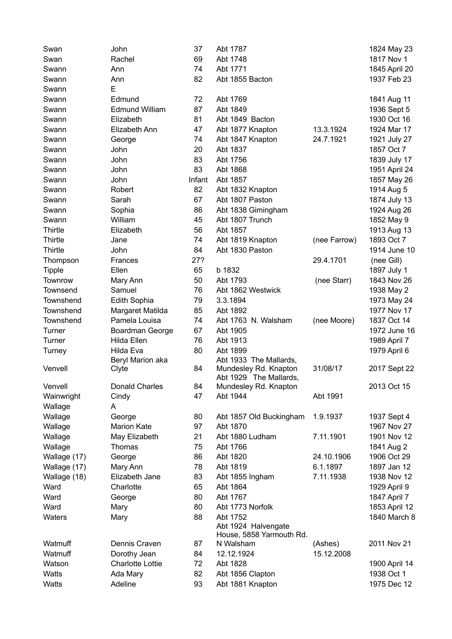| Swan          | John                              | 37     | Abt 1787                           |              | 1824 May 23                |
|---------------|-----------------------------------|--------|------------------------------------|--------------|----------------------------|
| Swan          | Rachel                            | 69     | Abt 1748                           |              | 1817 Nov 1                 |
| Swann         | Ann                               | 74     | Abt 1771                           |              | 1845 April 20              |
| Swann         | Ann                               | 82     | Abt 1855 Bacton                    |              | 1937 Feb 23                |
| Swann         | E                                 |        |                                    |              |                            |
| Swann         | Edmund                            | 72     | Abt 1769                           |              | 1841 Aug 11                |
| Swann         | <b>Edmund William</b>             | 87     | Abt 1849                           |              | 1936 Sept 5                |
| Swann         | Elizabeth                         | 81     | Abt 1849 Bacton                    |              | 1930 Oct 16                |
| Swann         | Elizabeth Ann                     | 47     | Abt 1877 Knapton                   | 13.3.1924    | 1924 Mar 17                |
| Swann         | George                            | 74     | Abt 1847 Knapton                   | 24.7.1921    | 1921 July 27               |
| Swann         | John                              | 20     | Abt 1837                           |              | 1857 Oct 7                 |
| Swann         | John                              | 83     | Abt 1756                           |              | 1839 July 17               |
| Swann         | John                              | 83     | Abt 1868                           |              | 1951 April 24              |
| Swann         | John                              | Infant | Abt 1857                           |              | 1857 May 26                |
| Swann         | Robert                            | 82     | Abt 1832 Knapton                   |              | 1914 Aug 5                 |
| Swann         | Sarah                             | 67     | Abt 1807 Paston                    |              | 1874 July 13               |
| Swann         | Sophia                            | 86     | Abt 1838 Gimingham                 |              | 1924 Aug 26                |
| Swann         | William                           | 45     | Abt 1807 Trunch                    |              | 1852 May 9                 |
| Thirtle       | Elizabeth                         | 56     | Abt 1857                           |              | 1913 Aug 13                |
| Thirtle       | Jane                              | 74     | Abt 1819 Knapton                   | (nee Farrow) | 1893 Oct 7                 |
| Thirtle       | John                              | 84     | Abt 1830 Paston                    |              | 1914 June 10               |
| Thompson      | Frances                           | 27?    |                                    | 29.4.1701    | (nee Gill)                 |
| <b>Tipple</b> | Ellen                             | 65     | b 1832                             |              | 1897 July 1                |
| Townrow       |                                   | 50     | Abt 1793                           | (nee Starr)  | 1843 Nov 26                |
| Townsend      | Mary Ann<br>Samuel                | 76     | Abt 1862 Westwick                  |              | 1938 May 2                 |
| Townshend     |                                   | 79     | 3.3.1894                           |              |                            |
| Townshend     | Edith Sophia                      | 85     | Abt 1892                           |              | 1973 May 24<br>1977 Nov 17 |
|               | Margaret Matilda<br>Pamela Louisa | 74     | Abt 1763 N. Walsham                |              |                            |
| Townshend     |                                   |        |                                    | (nee Moore)  | 1837 Oct 14                |
| Turner        | Boardman George                   | 67     | Abt 1905                           |              | 1972 June 16               |
| Turner        | Hilda Ellen                       | 76     | Abt 1913                           |              | 1989 April 7               |
| Turney        | Hilda Eva<br>Beryl Marion aka     | 80     | Abt 1899<br>Abt 1933 The Mallards, |              | 1979 April 6               |
| Venvell       | Clyte                             | 84     | Mundesley Rd. Knapton              | 31/08/17     | 2017 Sept 22               |
|               |                                   |        | Abt 1929 The Mallards,             |              |                            |
| Venvell       | Donald Charles                    | 84     | Mundesley Rd. Knapton              |              | 2013 Oct 15                |
| Wainwright    | Cindy                             | 47     | Abt 1944                           | Abt 1991     |                            |
| Wallage       | A                                 |        |                                    |              |                            |
| Wallage       | George                            | 80     | Abt 1857 Old Buckingham            | 1.9.1937     | 1937 Sept 4                |
| Wallage       | <b>Marion Kate</b>                | 97     | Abt 1870                           |              | 1967 Nov 27                |
| Wallage       | May Elizabeth                     | 21     | Abt 1880 Ludham                    | 7.11.1901    | 1901 Nov 12                |
| Wallage       | Thomas                            | 75     | Abt 1766                           |              | 1841 Aug 2                 |
| Wallage (17)  | George                            | 86     | Abt 1820                           | 24.10.1906   | 1906 Oct 29                |
| Wallage (17)  | Mary Ann                          | 78     | Abt 1819                           | 6.1.1897     | 1897 Jan 12                |
| Wallage (18)  | Elizabeth Jane                    | 83     | Abt 1855 Ingham                    | 7.11.1938    | 1938 Nov 12                |
| Ward          | Charlotte                         | 65     | Abt 1864                           |              | 1929 April 9               |
| Ward          | George                            | 80     | Abt 1767                           |              | 1847 April 7               |
| Ward          | Mary                              | 80     | Abt 1773 Norfolk                   |              | 1853 April 12              |
| Waters        | Mary                              | 88     | Abt 1752                           |              | 1840 March 8               |
|               |                                   |        | Abt 1924 Halvengate                |              |                            |
|               |                                   |        | House, 5858 Yarmouth Rd.           |              |                            |
| Watmuff       | Dennis Craven                     | 87     | N Walsham                          | (Ashes)      | 2011 Nov 21                |
| Watmuff       | Dorothy Jean                      | 84     | 12.12.1924                         | 15.12.2008   |                            |
| Watson        | <b>Charlotte Lottie</b>           | 72     | Abt 1828                           |              | 1900 April 14              |
| Watts         | Ada Mary                          | 82     | Abt 1856 Clapton                   |              | 1938 Oct 1                 |
| Watts         | Adeline                           | 93     | Abt 1881 Knapton                   |              | 1975 Dec 12                |
|               |                                   |        |                                    |              |                            |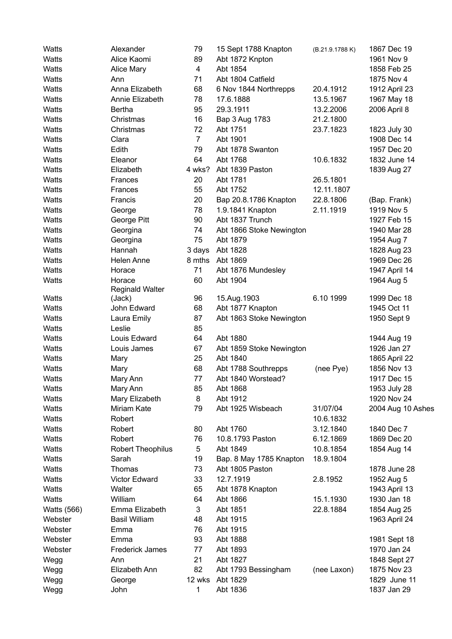| Watts              | Alexander                | 79             | 15 Sept 1788 Knapton     | (B.21.9.1788K) | 1867 Dec 19                 |
|--------------------|--------------------------|----------------|--------------------------|----------------|-----------------------------|
| Watts              | Alice Kaomi              | 89             | Abt 1872 Knpton          |                | 1961 Nov 9                  |
| Watts              | <b>Alice Mary</b>        | 4              | Abt 1854                 |                | 1858 Feb 25                 |
| Watts              | Ann                      | 71             | Abt 1804 Catfield        |                | 1875 Nov 4                  |
| Watts              | Anna Elizabeth           | 68             | 6 Nov 1844 Northrepps    | 20.4.1912      | 1912 April 23               |
| Watts              | Annie Elizabeth          | 78             | 17.6.1888                | 13.5.1967      | 1967 May 18                 |
| Watts              | Bertha                   | 95             | 29.3.1911                | 13.2.2006      | 2006 April 8                |
| Watts              | Christmas                | 16             | Bap 3 Aug 1783           | 21.2.1800      |                             |
| Watts              | Christmas                | 72             | Abt 1751                 | 23.7.1823      | 1823 July 30                |
| Watts              | Clara                    | $\overline{7}$ | Abt 1901                 |                | 1908 Dec 14                 |
| Watts              | Edith                    | 79             | Abt 1878 Swanton         |                | 1957 Dec 20                 |
| Watts              | Eleanor                  | 64             | Abt 1768                 | 10.6.1832      | 1832 June 14                |
| Watts              | Elizabeth                | 4 wks?         | Abt 1839 Paston          |                | 1839 Aug 27                 |
| Watts              | Frances                  | 20             | Abt 1781                 | 26.5.1801      |                             |
| Watts              | Frances                  | 55             | Abt 1752                 | 12.11.1807     |                             |
| Watts              | Francis                  | 20             | Bap 20.8.1786 Knapton    | 22.8.1806      | (Bap. Frank)                |
| Watts              | George                   | 78             | 1.9.1841 Knapton         | 2.11.1919      | 1919 Nov 5                  |
| Watts              | George Pitt              | 90             | Abt 1837 Trunch          |                | 1927 Feb 15                 |
| Watts              | Georgina                 | 74             | Abt 1866 Stoke Newington |                | 1940 Mar 28                 |
| Watts              | Georgina                 | 75             | Abt 1879                 |                | 1954 Aug 7                  |
| Watts              | Hannah                   | 3 days         | Abt 1828                 |                | 1828 Aug 23                 |
| Watts              | Helen Anne               | 8 mths         | Abt 1869                 |                | 1969 Dec 26                 |
| Watts              | Horace                   | 71             | Abt 1876 Mundesley       |                | 1947 April 14               |
| Watts              | Horace                   | 60             | Abt 1904                 |                | 1964 Aug 5                  |
|                    | <b>Reginald Walter</b>   |                |                          |                |                             |
| Watts              | (Jack)                   | 96             | 15.Aug.1903              | 6.10 1999      | 1999 Dec 18                 |
| Watts              | John Edward              | 68             | Abt 1877 Knapton         |                | 1945 Oct 11                 |
| Watts              | Laura Emily              | 87             | Abt 1863 Stoke Newington |                | 1950 Sept 9                 |
| Watts              | Leslie                   | 85             |                          |                |                             |
| Watts              | Louis Edward             | 64             | Abt 1880                 |                | 1944 Aug 19                 |
| Watts              | Louis James              | 67             | Abt 1859 Stoke Newington |                | 1926 Jan 27                 |
| Watts              | Mary                     | 25             | Abt 1840                 |                | 1865 April 22               |
| Watts              | Mary                     | 68             | Abt 1788 Southrepps      | (nee Pye)      | 1856 Nov 13                 |
| Watts              | Mary Ann                 | 77             | Abt 1840 Worstead?       |                | 1917 Dec 15                 |
| Watts              | Mary Ann                 | 85             | Abt 1868                 |                | 1953 July 28                |
| Watts              | Mary Elizabeth           | 8              | Abt 1912                 |                | 1920 Nov 24                 |
| Watts              | Miriam Kate              | 79             | Abt 1925 Wisbeach        | 31/07/04       | 2004 Aug 10 Ashes           |
| Watts              | Robert                   |                |                          | 10.6.1832      |                             |
| Watts              | Robert                   | 80             | Abt 1760                 | 3.12.1840      | 1840 Dec 7                  |
| Watts              | Robert                   | 76             | 10.8.1793 Paston         | 6.12.1869      | 1869 Dec 20                 |
| Watts              | <b>Robert Theophilus</b> | 5              | Abt 1849                 | 10.8.1854      | 1854 Aug 14                 |
| Watts              | Sarah                    | 19             | Bap. 8 May 1785 Knapton  | 18.9.1804      |                             |
| Watts              | Thomas                   | 73             | Abt 1805 Paston          |                | 1878 June 28                |
| Watts              | <b>Victor Edward</b>     | 33             | 12.7.1919                | 2.8.1952       | 1952 Aug 5                  |
| Watts              | Walter                   | 65             | Abt 1878 Knapton         |                | 1943 April 13               |
| Watts              | William                  | 64             | Abt 1866                 | 15.1.1930      | 1930 Jan 18                 |
| <b>Watts (566)</b> | Emma Elizabeth           | 3              | Abt 1851                 | 22.8.1884      | 1854 Aug 25                 |
| Webster            | <b>Basil William</b>     | 48             | Abt 1915                 |                | 1963 April 24               |
| Webster            |                          | 76             | Abt 1915                 |                |                             |
| Webster            | Emma<br>Emma             | 93             | Abt 1888                 |                |                             |
| Webster            | <b>Frederick James</b>   |                | Abt 1893                 |                | 1981 Sept 18<br>1970 Jan 24 |
|                    |                          | 77             |                          |                |                             |
| Wegg               | Ann                      | 21             | Abt 1827                 |                | 1848 Sept 27                |
| Wegg               | Elizabeth Ann            | 82             | Abt 1793 Bessingham      | (nee Laxon)    | 1875 Nov 23                 |
| Wegg               | George                   | 12 wks         | Abt 1829                 |                | 1829 June 11                |
| Wegg               | John                     | 1              | Abt 1836                 |                | 1837 Jan 29                 |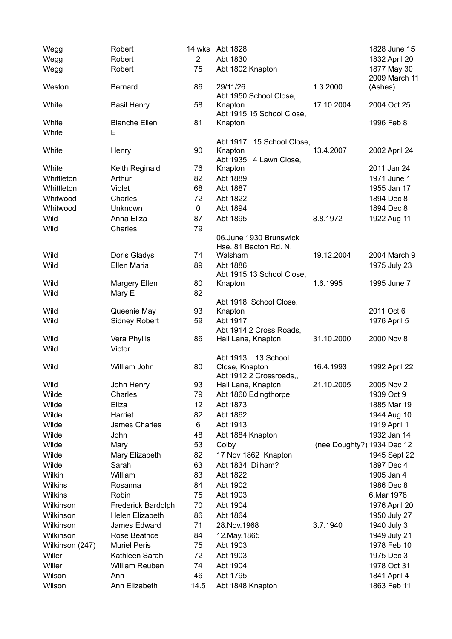| Wegg            | Robert               | 14 wks         | Abt 1828                                   |                            | 1828 June 15                 |
|-----------------|----------------------|----------------|--------------------------------------------|----------------------------|------------------------------|
| Wegg            | Robert               | $\overline{2}$ | Abt 1830                                   |                            | 1832 April 20                |
| Wegg            | Robert               | 75             | Abt 1802 Knapton                           |                            | 1877 May 30<br>2009 March 11 |
| Weston          | <b>Bernard</b>       | 86             | 29/11/26<br>Abt 1950 School Close,         | 1.3.2000                   | (Ashes)                      |
| White           | <b>Basil Henry</b>   | 58             | Knapton<br>Abt 1915 15 School Close,       | 17.10.2004                 | 2004 Oct 25                  |
| White           | <b>Blanche Ellen</b> | 81             | Knapton                                    |                            | 1996 Feb 8                   |
| White           | E                    |                |                                            |                            |                              |
|                 |                      |                | Abt 1917<br>15 School Close,               |                            |                              |
| White           | Henry                | 90             | Knapton<br>Abt 1935 4 Lawn Close,          | 13.4.2007                  | 2002 April 24                |
| White           | Keith Reginald       | 76             | Knapton                                    |                            | 2011 Jan 24                  |
| Whittleton      | Arthur               | 82             | Abt 1889                                   |                            | 1971 June 1                  |
| Whittleton      | Violet               | 68             | Abt 1887                                   |                            | 1955 Jan 17                  |
| Whitwood        | Charles              | 72             | Abt 1822                                   |                            | 1894 Dec 8                   |
| Whitwood        | Unknown              | 0              | Abt 1894                                   |                            | 1894 Dec 8                   |
| Wild            | Anna Eliza           | 87             | Abt 1895                                   | 8.8.1972                   | 1922 Aug 11                  |
| Wild            | Charles              | 79             |                                            |                            |                              |
|                 |                      |                | 06.June 1930 Brunswick                     |                            |                              |
|                 |                      |                | Hse. 81 Bacton Rd. N.                      |                            |                              |
| Wild            | Doris Gladys         | 74             | Walsham                                    | 19.12.2004                 | 2004 March 9                 |
| Wild            | Ellen Maria          | 89             | Abt 1886                                   |                            | 1975 July 23                 |
|                 |                      |                | Abt 1915 13 School Close,                  |                            |                              |
| Wild            | Margery Ellen        | 80             | Knapton                                    | 1.6.1995                   | 1995 June 7                  |
| Wild            | Mary E               | 82             |                                            |                            |                              |
|                 |                      |                | Abt 1918 School Close,                     |                            |                              |
| Wild            | Queenie May          | 93             | Knapton                                    |                            | 2011 Oct 6                   |
| Wild            | <b>Sidney Robert</b> | 59             | Abt 1917                                   |                            | 1976 April 5                 |
|                 |                      |                | Abt 1914 2 Cross Roads,                    |                            |                              |
| Wild            | Vera Phyllis         | 86             | Hall Lane, Knapton                         | 31.10.2000                 | 2000 Nov 8                   |
| Wild            | Victor               |                | 13 School<br>Abt 1913                      |                            |                              |
| Wild            | William John         | 80             | Close, Knapton                             | 16.4.1993                  | 1992 April 22                |
| Wild            | John Henry           | 93             | Abt 1912 2 Crossroads,,                    | 21.10.2005                 | 2005 Nov 2                   |
| Wilde           | Charles              | 79             | Hall Lane, Knapton<br>Abt 1860 Edingthorpe |                            | 1939 Oct 9                   |
| Wilde           | Eliza                | 12             | Abt 1873                                   |                            | 1885 Mar 19                  |
|                 | Harriet              |                |                                            |                            |                              |
| Wilde           |                      | 82             | Abt 1862                                   |                            | 1944 Aug 10                  |
| Wilde           | James Charles        | 6              | Abt 1913                                   |                            | 1919 April 1                 |
| Wilde           | John                 | 48             | Abt 1884 Knapton                           |                            | 1932 Jan 14                  |
| Wilde           | Mary                 | 53             | Colby                                      | (nee Doughty?) 1934 Dec 12 |                              |
| Wilde           | Mary Elizabeth       | 82             | 17 Nov 1862 Knapton                        |                            | 1945 Sept 22                 |
| Wilde           | Sarah                | 63             | Abt 1834 Dilham?                           |                            | 1897 Dec 4                   |
| Wilkin          | William              | 83             | Abt 1822                                   |                            | 1905 Jan 4                   |
| Wilkins         | Rosanna              | 84             | Abt 1902                                   |                            | 1986 Dec 8                   |
| Wilkins         | Robin                | 75             | Abt 1903                                   |                            | 6.Mar.1978                   |
| Wilkinson       | Frederick Bardolph   | 70             | Abt 1904                                   |                            | 1976 April 20                |
| Wilkinson       | Helen Elizabeth      | 86             | Abt 1864                                   |                            | 1950 July 27                 |
| Wilkinson       | James Edward         | 71             | 28. Nov. 1968                              | 3.7.1940                   | 1940 July 3                  |
| Wilkinson       | Rose Beatrice        | 84             | 12. May . 1865                             |                            | 1949 July 21                 |
| Wilkinson (247) | <b>Muriel Peris</b>  | 75             | Abt 1903                                   |                            | 1978 Feb 10                  |
| Willer          | Kathleen Sarah       | 72             | Abt 1903                                   |                            | 1975 Dec 3                   |
| Willer          | William Reuben       | 74             | Abt 1904                                   |                            | 1978 Oct 31                  |
| Wilson          | Ann                  | 46             | Abt 1795                                   |                            | 1841 April 4                 |
| Wilson          | Ann Elizabeth        | 14.5           | Abt 1848 Knapton                           |                            | 1863 Feb 11                  |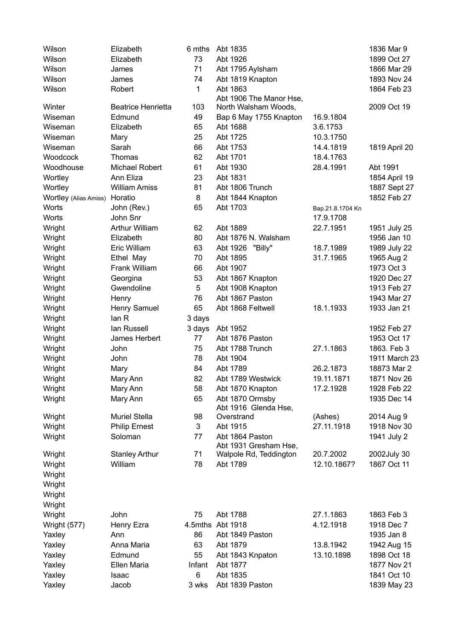| Wilson<br>Elizabeth<br>6 mths<br>Abt 1835                                    | 1836 Mar 9    |
|------------------------------------------------------------------------------|---------------|
| Wilson<br>73<br>Abt 1926<br>Elizabeth                                        | 1899 Oct 27   |
| 71<br>Wilson<br>Abt 1795 Aylsham<br>James                                    | 1866 Mar 29   |
| Wilson<br>74<br>Abt 1819 Knapton<br>James                                    | 1893 Nov 24   |
| Wilson<br>1<br>Abt 1863<br>Robert                                            | 1864 Feb 23   |
| Abt 1906 The Manor Hse,                                                      |               |
| Winter<br><b>Beatrice Henrietta</b><br>103<br>North Walsham Woods,           | 2009 Oct 19   |
| 49<br>16.9.1804<br>Wiseman<br>Edmund<br>Bap 6 May 1755 Knapton               |               |
| Wiseman<br>65<br>3.6.1753<br>Elizabeth<br>Abt 1688                           |               |
| 25<br>Abt 1725<br>Wiseman<br>10.3.1750<br>Mary                               |               |
| Sarah<br>66<br>Wiseman<br>Abt 1753<br>14.4.1819                              | 1819 April 20 |
| 62<br>Woodcock<br>Thomas<br>Abt 1701<br>18.4.1763                            |               |
| Woodhouse<br>Michael Robert<br>61<br>Abt 1930<br>28.4.1991                   | Abt 1991      |
| Ann Eliza<br>23<br>Abt 1831<br>Wortley                                       | 1854 April 19 |
| 81<br>Abt 1806 Trunch<br>Wortley<br><b>William Amiss</b>                     | 1887 Sept 27  |
| 8<br>Abt 1844 Knapton<br>Wortley (Alias Amiss)<br>Horatio                    | 1852 Feb 27   |
| 65<br>Abt 1703<br>Worts<br>John (Rev.)<br>Bap.21.8.1704 Kn                   |               |
| John Snr<br>Worts<br>17.9.1708                                               |               |
| <b>Arthur William</b><br>Abt 1889<br>Wright<br>62<br>22.7.1951               | 1951 July 25  |
| 80<br>Abt 1876 N. Walsham<br>Wright<br>Elizabeth                             | 1956 Jan 10   |
| Eric William<br>63<br>Abt 1926 "Billy"<br>Wright<br>18.7.1989                | 1989 July 22  |
| Ethel May<br>70<br>Abt 1895<br>31.7.1965<br>Wright                           | 1965 Aug 2    |
| Frank William<br>66<br>Abt 1907<br>Wright                                    | 1973 Oct 3    |
| 53<br>Wright<br>Georgina<br>Abt 1867 Knapton                                 | 1920 Dec 27   |
| 5<br>Wright<br>Gwendoline<br>Abt 1908 Knapton                                | 1913 Feb 27   |
| 76<br>Abt 1867 Paston<br>Wright<br>Henry                                     | 1943 Mar 27   |
| 65<br>Abt 1868 Feltwell<br>18.1.1933<br>Wright<br>Henry Samuel               | 1933 Jan 21   |
| lan R<br>Wright<br>3 days                                                    |               |
| lan Russell<br>3 days<br>Abt 1952<br>Wright                                  | 1952 Feb 27   |
| James Herbert<br>77<br>Abt 1876 Paston<br>Wright                             | 1953 Oct 17   |
| 75<br>Abt 1788 Trunch<br>Wright<br>John<br>27.1.1863                         | 1863. Feb 3   |
| John<br>78<br>Abt 1904<br>Wright                                             | 1911 March 23 |
| 84<br>Abt 1789<br>26.2.1873<br>Wright<br>Mary                                | 18873 Mar 2   |
| 82<br>Wright<br>Abt 1789 Westwick<br>19.11.1871<br>Mary Ann                  | 1871 Nov 26   |
| 58<br>17.2.1928<br>Wright<br>Abt 1870 Knapton<br>Mary Ann                    | 1928 Feb 22   |
| 65<br>Abt 1870 Ormsby<br>Wright<br>Mary Ann                                  | 1935 Dec 14   |
| Abt 1916 Glenda Hse,                                                         |               |
| <b>Muriel Stella</b><br>98<br>(Ashes)<br>Wright<br>Overstrand                | 2014 Aug 9    |
| 3<br>Abt 1915<br>27.11.1918<br>Wright<br><b>Philip Ernest</b>                | 1918 Nov 30   |
| Abt 1864 Paston<br>Wright<br>Soloman<br>77                                   | 1941 July 2   |
| Abt 1931 Gresham Hse,                                                        |               |
| 71<br>20.7.2002<br>Wright<br><b>Stanley Arthur</b><br>Walpole Rd, Teddington | 2002July 30   |
| William<br>78<br>Abt 1789<br>12.10.1867?<br>Wright                           | 1867 Oct 11   |
| Wright                                                                       |               |
| Wright                                                                       |               |
| Wright                                                                       |               |
| Wright                                                                       |               |
| John<br>Abt 1788<br>27.1.1863<br>Wright<br>75                                | 1863 Feb 3    |
| Abt 1918<br>4.12.1918<br>4.5mths<br>Wright (577)<br>Henry Ezra               | 1918 Dec 7    |
| Yaxley<br>Ann<br>86<br>Abt 1849 Paston                                       | 1935 Jan 8    |
| 63<br>Abt 1879<br>13.8.1942<br>Yaxley<br>Anna Maria                          | 1942 Aug 15   |
| 55<br>13.10.1898<br>Yaxley<br>Edmund<br>Abt 1843 Knpaton                     | 1898 Oct 18   |
| Yaxley<br>Ellen Maria<br>Infant<br>Abt 1877                                  | 1877 Nov 21   |
| 6<br>Abt 1835<br>Yaxley<br><b>Isaac</b>                                      | 1841 Oct 10   |
| Abt 1839 Paston<br>Yaxley<br>Jacob<br>3 wks                                  | 1839 May 23   |